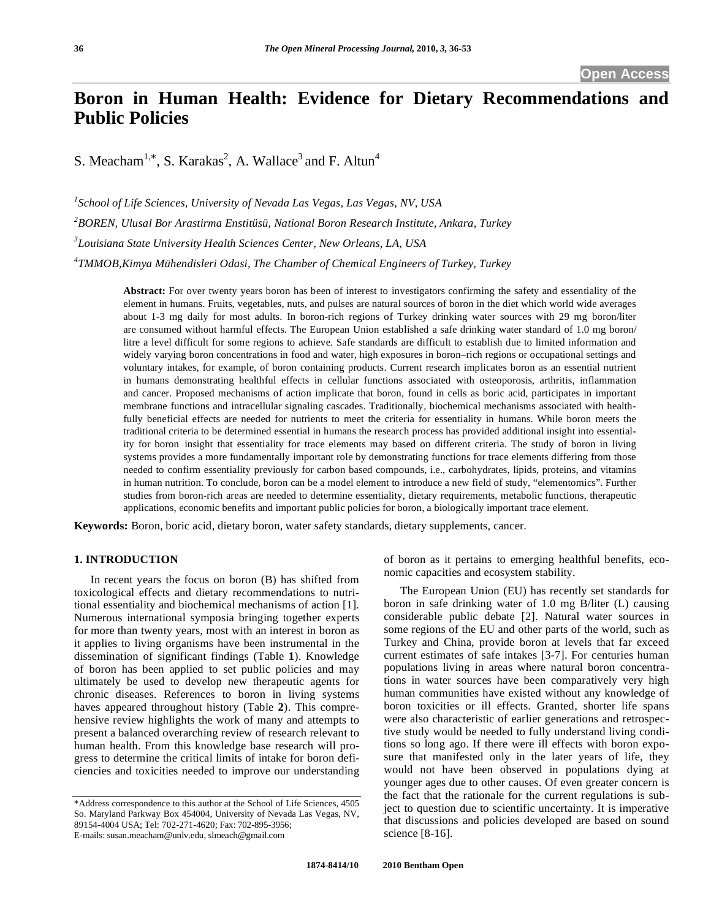# **Boron in Human Health: Evidence for Dietary Recommendations and Public Policies**

S. Meacham<sup>1,\*</sup>, S. Karakas<sup>2</sup>, A. Wallace<sup>3</sup> and F. Altun<sup>4</sup>

 *School of Life Sciences, University of Nevada Las Vegas, Las Vegas, NV, USA BOREN, Ulusal Bor Arastirma Enstitüsü, National Boron Research Institute, Ankara, Turkey Louisiana State University Health Sciences Center, New Orleans, LA, USA TMMOB,Kimya Mühendisleri Odasi, The Chamber of Chemical Engineers of Turkey, Turkey* 

> **Abstract:** For over twenty years boron has been of interest to investigators confirming the safety and essentiality of the element in humans. Fruits, vegetables, nuts, and pulses are natural sources of boron in the diet which world wide averages about 1-3 mg daily for most adults. In boron-rich regions of Turkey drinking water sources with 29 mg boron/liter are consumed without harmful effects. The European Union established a safe drinking water standard of 1.0 mg boron/ litre a level difficult for some regions to achieve. Safe standards are difficult to establish due to limited information and widely varying boron concentrations in food and water, high exposures in boron–rich regions or occupational settings and voluntary intakes, for example, of boron containing products. Current research implicates boron as an essential nutrient in humans demonstrating healthful effects in cellular functions associated with osteoporosis, arthritis, inflammation and cancer. Proposed mechanisms of action implicate that boron, found in cells as boric acid, participates in important membrane functions and intracellular signaling cascades. Traditionally, biochemical mechanisms associated with healthfully beneficial effects are needed for nutrients to meet the criteria for essentiality in humans. While boron meets the traditional criteria to be determined essential in humans the research process has provided additional insight into essentiality for boron insight that essentiality for trace elements may based on different criteria. The study of boron in living systems provides a more fundamentally important role by demonstrating functions for trace elements differing from those needed to confirm essentiality previously for carbon based compounds, i.e., carbohydrates, lipids, proteins, and vitamins in human nutrition. To conclude, boron can be a model element to introduce a new field of study, "elementomics". Further studies from boron-rich areas are needed to determine essentiality, dietary requirements, metabolic functions, therapeutic applications, economic benefits and important public policies for boron, a biologically important trace element.

**Keywords:** Boron, boric acid, dietary boron, water safety standards, dietary supplements, cancer.

### **1. INTRODUCTION**

 In recent years the focus on boron (B) has shifted from toxicological effects and dietary recommendations to nutritional essentiality and biochemical mechanisms of action [1]. Numerous international symposia bringing together experts for more than twenty years, most with an interest in boron as it applies to living organisms have been instrumental in the dissemination of significant findings (Table **1**). Knowledge of boron has been applied to set public policies and may ultimately be used to develop new therapeutic agents for chronic diseases. References to boron in living systems haves appeared throughout history (Table **2**). This comprehensive review highlights the work of many and attempts to present a balanced overarching review of research relevant to human health. From this knowledge base research will progress to determine the critical limits of intake for boron deficiencies and toxicities needed to improve our understanding

of boron as it pertains to emerging healthful benefits, economic capacities and ecosystem stability.

 The European Union (EU) has recently set standards for boron in safe drinking water of 1.0 mg B/liter (L) causing considerable public debate [2]. Natural water sources in some regions of the EU and other parts of the world, such as Turkey and China, provide boron at levels that far exceed current estimates of safe intakes [3-7]. For centuries human populations living in areas where natural boron concentrations in water sources have been comparatively very high human communities have existed without any knowledge of boron toxicities or ill effects. Granted, shorter life spans were also characteristic of earlier generations and retrospective study would be needed to fully understand living conditions so long ago. If there were ill effects with boron exposure that manifested only in the later years of life, they would not have been observed in populations dying at younger ages due to other causes. Of even greater concern is the fact that the rationale for the current regulations is subject to question due to scientific uncertainty. It is imperative that discussions and policies developed are based on sound science [8-16].

<sup>\*</sup>Address correspondence to this author at the School of Life Sciences, 4505 So. Maryland Parkway Box 454004, University of Nevada Las Vegas, NV, 89154-4004 USA; Tel: 702-271-4620; Fax: 702-895-3956; E-mails: susan.meacham@unlv.edu, slmeach@gmail.com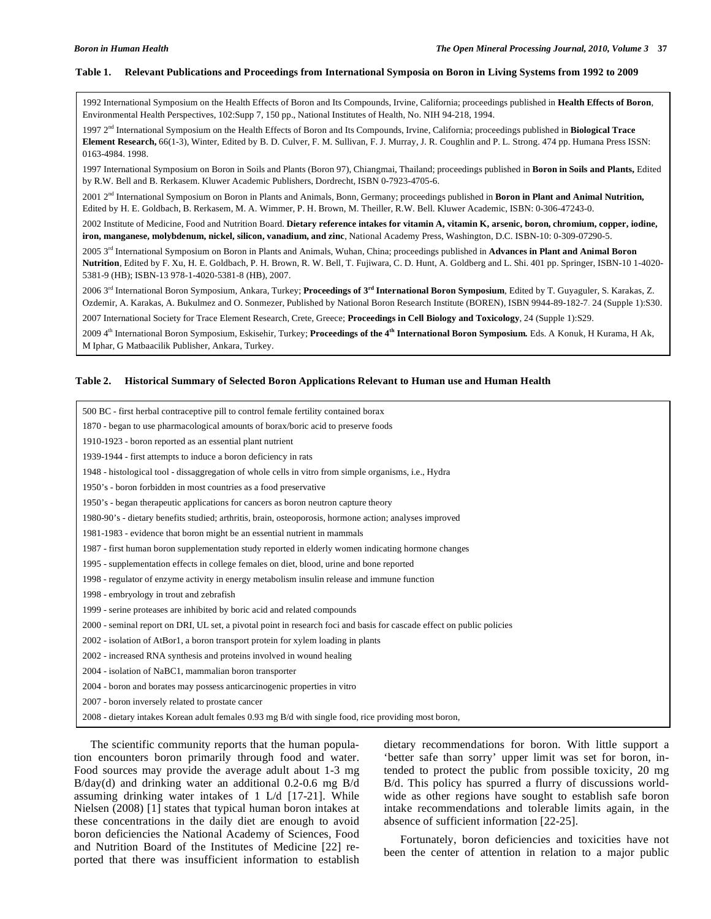### **Table 1. Relevant Publications and Proceedings from International Symposia on Boron in Living Systems from 1992 to 2009**

1992 International Symposium on the Health Effects of Boron and Its Compounds, Irvine, California; proceedings published in **Health Effects of Boron**, Environmental Health Perspectives, 102:Supp 7, 150 pp., National Institutes of Health, No. NIH 94-218, 1994.

1997 2nd International Symposium on the Health Effects of Boron and Its Compounds, Irvine, California; proceedings published in **Biological Trace Element Research,** 66(1-3), Winter, Edited by B. D. Culver, F. M. Sullivan, F. J. Murray, J. R. Coughlin and P. L. Strong. 474 pp. Humana Press ISSN: 0163-4984. 1998.

1997 International Symposium on Boron in Soils and Plants (Boron 97), Chiangmai, Thailand; proceedings published in **Boron in Soils and Plants,** Edited by R.W. Bell and B. Rerkasem. Kluwer Academic Publishers, Dordrecht, ISBN 0-7923-4705-6.

2001 2nd International Symposium on Boron in Plants and Animals, Bonn, Germany; proceedings published in **Boron in Plant and Animal Nutrition,**  Edited by H. E. Goldbach, B. Rerkasem, M. A. Wimmer, P. H. Brown, M. Theiller, R.W. Bell. Kluwer Academic, ISBN: 0-306-47243-0.

2002 Institute of Medicine, Food and Nutrition Board. **Dietary reference intakes for vitamin A, vitamin K, arsenic, boron, chromium, copper, iodine, iron, manganese, molybdenum, nickel, silicon, vanadium, and zinc**, National Academy Press, Washington, D.C. ISBN-10: 0-309-07290-5.

2005 3rd International Symposium on Boron in Plants and Animals, Wuhan, China; proceedings published in **Advances in Plant and Animal Boron Nutrition**, Edited by F. Xu, H. E. Goldbach, P. H. Brown, R. W. Bell, T. Fujiwara, C. D. Hunt, A. Goldberg and L. Shi. 401 pp. Springer, ISBN-10 1-4020- 5381-9 (HB); ISBN-13 978-1-4020-5381-8 (HB), 2007.

2006 3rd International Boron Symposium, Ankara, Turkey; **Proceedings of 3rd International Boron Symposium**, Edited by T. Guyaguler, S. Karakas, Z. Ozdemir, A. Karakas, A. Bukulmez and O. Sonmezer, Published by National Boron Research Institute (BOREN), ISBN 9944-89-182-7. 24 (Supple 1):S30. 2007 International Society for Trace Element Research, Crete, Greece; **Proceedings in Cell Biology and Toxicology**, 24 (Supple 1):S29.

2009 4th International Boron Symposium, Eskisehir, Turkey; **Proceedings of the 4th International Boron Symposium***.* Eds. A Konuk, H Kurama, H Ak, M Iphar, G Matbaacilik Publisher, Ankara, Turkey.

### **Table 2. Historical Summary of Selected Boron Applications Relevant to Human use and Human Health**

| 500 BC - first herbal contraceptive pill to control female fertility contained borax                                   |
|------------------------------------------------------------------------------------------------------------------------|
| 1870 - began to use pharmacological amounts of borax/boric acid to preserve foods                                      |
| 1910-1923 - boron reported as an essential plant nutrient                                                              |
| 1939-1944 - first attempts to induce a boron deficiency in rats                                                        |
| 1948 - histological tool - dissaggregation of whole cells in vitro from simple organisms, i.e., Hydra                  |
| 1950's - boron forbidden in most countries as a food preservative                                                      |
| 1950's - began therapeutic applications for cancers as boron neutron capture theory                                    |
| 1980-90's - dietary benefits studied; arthritis, brain, osteoporosis, hormone action; analyses improved                |
| 1981-1983 - evidence that boron might be an essential nutrient in mammals                                              |
| 1987 - first human boron supplementation study reported in elderly women indicating hormone changes                    |
| 1995 - supplementation effects in college females on diet, blood, urine and bone reported                              |
| 1998 - regulator of enzyme activity in energy metabolism insulin release and immune function                           |
| 1998 - embryology in trout and zebrafish                                                                               |
| 1999 - serine proteases are inhibited by boric acid and related compounds                                              |
| 2000 - seminal report on DRI, UL set, a pivotal point in research foci and basis for cascade effect on public policies |
| 2002 - isolation of AtBor1, a boron transport protein for xylem loading in plants                                      |
| 2002 - increased RNA synthesis and proteins involved in wound healing                                                  |
| 2004 - isolation of NaBC1, mammalian boron transporter                                                                 |
| 2004 - boron and borates may possess anticarcinogenic properties in vitro                                              |
| 2007 - boron inversely related to prostate cancer                                                                      |
| 2008 - dietary intakes Korean adult females 0.93 mg B/d with single food, rice providing most boron,                   |

 The scientific community reports that the human population encounters boron primarily through food and water. Food sources may provide the average adult about 1-3 mg B/day(d) and drinking water an additional 0.2-0.6 mg B/d assuming drinking water intakes of 1 L/d [17-21]. While Nielsen (2008) [1] states that typical human boron intakes at these concentrations in the daily diet are enough to avoid boron deficiencies the National Academy of Sciences, Food and Nutrition Board of the Institutes of Medicine [22] reported that there was insufficient information to establish dietary recommendations for boron. With little support a 'better safe than sorry' upper limit was set for boron, intended to protect the public from possible toxicity, 20 mg B/d. This policy has spurred a flurry of discussions worldwide as other regions have sought to establish safe boron intake recommendations and tolerable limits again, in the absence of sufficient information [22-25].

 Fortunately, boron deficiencies and toxicities have not been the center of attention in relation to a major public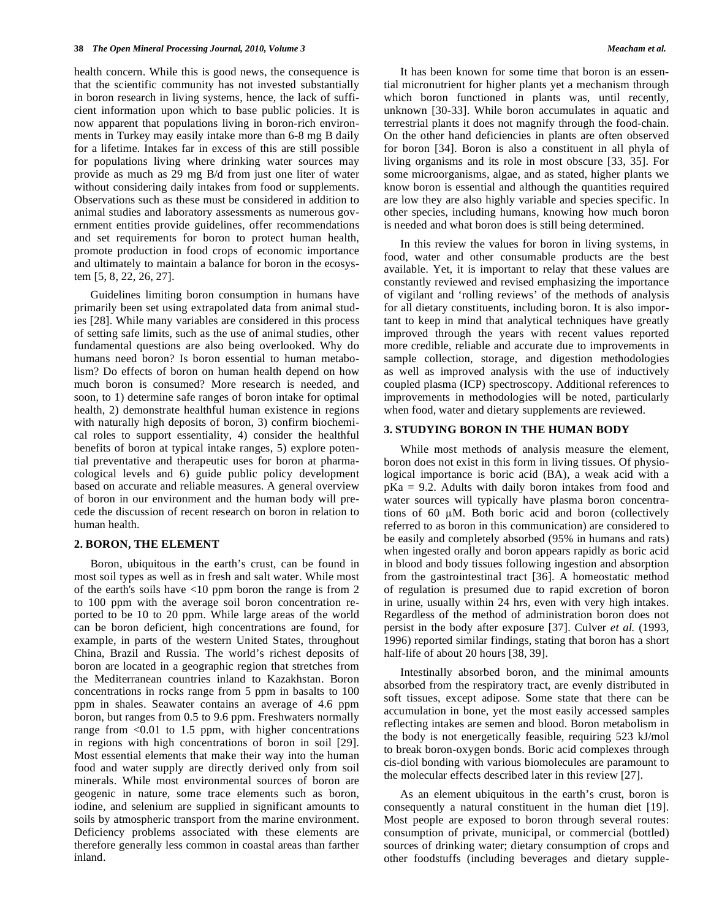health concern. While this is good news, the consequence is that the scientific community has not invested substantially in boron research in living systems, hence, the lack of sufficient information upon which to base public policies. It is now apparent that populations living in boron-rich environments in Turkey may easily intake more than 6-8 mg B daily for a lifetime. Intakes far in excess of this are still possible for populations living where drinking water sources may provide as much as 29 mg B/d from just one liter of water without considering daily intakes from food or supplements. Observations such as these must be considered in addition to animal studies and laboratory assessments as numerous government entities provide guidelines, offer recommendations and set requirements for boron to protect human health, promote production in food crops of economic importance and ultimately to maintain a balance for boron in the ecosystem [5, 8, 22, 26, 27].

 Guidelines limiting boron consumption in humans have primarily been set using extrapolated data from animal studies [28]. While many variables are considered in this process of setting safe limits, such as the use of animal studies, other fundamental questions are also being overlooked. Why do humans need boron? Is boron essential to human metabolism? Do effects of boron on human health depend on how much boron is consumed? More research is needed, and soon, to 1) determine safe ranges of boron intake for optimal health, 2) demonstrate healthful human existence in regions with naturally high deposits of boron, 3) confirm biochemical roles to support essentiality, 4) consider the healthful benefits of boron at typical intake ranges, 5) explore potential preventative and therapeutic uses for boron at pharmacological levels and 6) guide public policy development based on accurate and reliable measures. A general overview of boron in our environment and the human body will precede the discussion of recent research on boron in relation to human health.

### **2. BORON, THE ELEMENT**

 Boron, ubiquitous in the earth's crust, can be found in most soil types as well as in fresh and salt water. While most of the earth's soils have <10 ppm boron the range is from 2 to 100 ppm with the average soil boron concentration reported to be 10 to 20 ppm. While large areas of the world can be boron deficient, high concentrations are found, for example, in parts of the western United States, throughout China, Brazil and Russia. The world's richest deposits of boron are located in a geographic region that stretches from the Mediterranean countries inland to Kazakhstan. Boron concentrations in rocks range from 5 ppm in basalts to 100 ppm in shales. Seawater contains an average of 4.6 ppm boron, but ranges from 0.5 to 9.6 ppm. Freshwaters normally range from  $< 0.01$  to 1.5 ppm, with higher concentrations in regions with high concentrations of boron in soil [29]. Most essential elements that make their way into the human food and water supply are directly derived only from soil minerals. While most environmental sources of boron are geogenic in nature, some trace elements such as boron, iodine, and selenium are supplied in significant amounts to soils by atmospheric transport from the marine environment. Deficiency problems associated with these elements are therefore generally less common in coastal areas than farther inland.

 It has been known for some time that boron is an essential micronutrient for higher plants yet a mechanism through which boron functioned in plants was, until recently, unknown [30-33]. While boron accumulates in aquatic and terrestrial plants it does not magnify through the food-chain. On the other hand deficiencies in plants are often observed for boron [34]. Boron is also a constituent in all phyla of living organisms and its role in most obscure [33, 35]. For some microorganisms, algae, and as stated, higher plants we know boron is essential and although the quantities required are low they are also highly variable and species specific. In other species, including humans, knowing how much boron is needed and what boron does is still being determined.

 In this review the values for boron in living systems, in food, water and other consumable products are the best available. Yet, it is important to relay that these values are constantly reviewed and revised emphasizing the importance of vigilant and 'rolling reviews' of the methods of analysis for all dietary constituents, including boron. It is also important to keep in mind that analytical techniques have greatly improved through the years with recent values reported more credible, reliable and accurate due to improvements in sample collection, storage, and digestion methodologies as well as improved analysis with the use of inductively coupled plasma (ICP) spectroscopy. Additional references to improvements in methodologies will be noted, particularly when food, water and dietary supplements are reviewed.

### **3. STUDYING BORON IN THE HUMAN BODY**

 While most methods of analysis measure the element, boron does not exist in this form in living tissues. Of physiological importance is boric acid (BA), a weak acid with a  $pKa = 9.2$ . Adults with daily boron intakes from food and water sources will typically have plasma boron concentrations of 60  $\mu$ M. Both boric acid and boron (collectively referred to as boron in this communication) are considered to be easily and completely absorbed (95% in humans and rats) when ingested orally and boron appears rapidly as boric acid in blood and body tissues following ingestion and absorption from the gastrointestinal tract [36]. A homeostatic method of regulation is presumed due to rapid excretion of boron in urine, usually within 24 hrs, even with very high intakes. Regardless of the method of administration boron does not persist in the body after exposure [37]. Culver *et al.* (1993, 1996) reported similar findings, stating that boron has a short half-life of about 20 hours [38, 39].

 Intestinally absorbed boron, and the minimal amounts absorbed from the respiratory tract, are evenly distributed in soft tissues, except adipose. Some state that there can be accumulation in bone, yet the most easily accessed samples reflecting intakes are semen and blood. Boron metabolism in the body is not energetically feasible, requiring 523 kJ/mol to break boron-oxygen bonds. Boric acid complexes through cis-diol bonding with various biomolecules are paramount to the molecular effects described later in this review [27].

 As an element ubiquitous in the earth's crust, boron is consequently a natural constituent in the human diet [19]. Most people are exposed to boron through several routes: consumption of private, municipal, or commercial (bottled) sources of drinking water; dietary consumption of crops and other foodstuffs (including beverages and dietary supple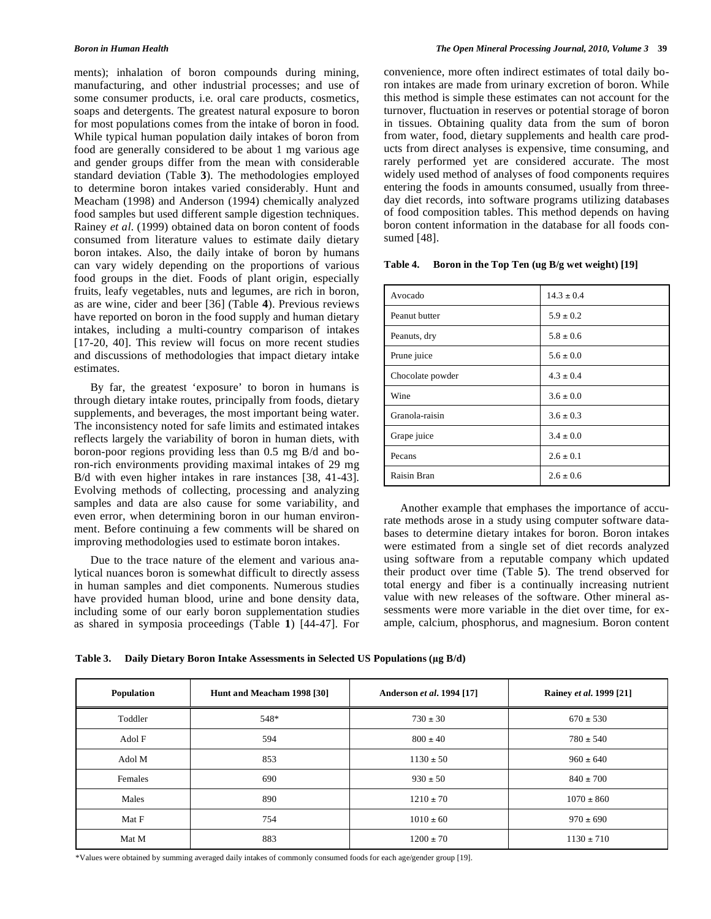ments); inhalation of boron compounds during mining, manufacturing, and other industrial processes; and use of some consumer products, i.e. oral care products, cosmetics, soaps and detergents. The greatest natural exposure to boron for most populations comes from the intake of boron in food. While typical human population daily intakes of boron from food are generally considered to be about 1 mg various age and gender groups differ from the mean with considerable standard deviation (Table **3**). The methodologies employed to determine boron intakes varied considerably. Hunt and Meacham (1998) and Anderson (1994) chemically analyzed food samples but used different sample digestion techniques. Rainey *et al*. (1999) obtained data on boron content of foods consumed from literature values to estimate daily dietary boron intakes. Also, the daily intake of boron by humans can vary widely depending on the proportions of various food groups in the diet. Foods of plant origin, especially fruits, leafy vegetables, nuts and legumes, are rich in boron, as are wine, cider and beer [36] (Table **4**). Previous reviews have reported on boron in the food supply and human dietary intakes, including a multi-country comparison of intakes [17-20, 40]. This review will focus on more recent studies and discussions of methodologies that impact dietary intake estimates.

 By far, the greatest 'exposure' to boron in humans is through dietary intake routes, principally from foods, dietary supplements, and beverages, the most important being water. The inconsistency noted for safe limits and estimated intakes reflects largely the variability of boron in human diets, with boron-poor regions providing less than 0.5 mg B/d and boron-rich environments providing maximal intakes of 29 mg B/d with even higher intakes in rare instances [38, 41-43]. Evolving methods of collecting, processing and analyzing samples and data are also cause for some variability, and even error, when determining boron in our human environment. Before continuing a few comments will be shared on improving methodologies used to estimate boron intakes.

 Due to the trace nature of the element and various analytical nuances boron is somewhat difficult to directly assess in human samples and diet components. Numerous studies have provided human blood, urine and bone density data, including some of our early boron supplementation studies as shared in symposia proceedings (Table **1**) [44-47]. For convenience, more often indirect estimates of total daily boron intakes are made from urinary excretion of boron. While this method is simple these estimates can not account for the turnover, fluctuation in reserves or potential storage of boron in tissues. Obtaining quality data from the sum of boron from water, food, dietary supplements and health care products from direct analyses is expensive, time consuming, and rarely performed yet are considered accurate. The most widely used method of analyses of food components requires entering the foods in amounts consumed, usually from threeday diet records, into software programs utilizing databases of food composition tables. This method depends on having boron content information in the database for all foods consumed [48].

| Avocado          | $14.3 \pm 0.4$ |
|------------------|----------------|
| Peanut butter    | $5.9 \pm 0.2$  |
| Peanuts, dry     | $5.8 \pm 0.6$  |
| Prune juice      | $5.6 \pm 0.0$  |
| Chocolate powder | $4.3 \pm 0.4$  |
| Wine             | $3.6 \pm 0.0$  |
| Granola-raisin   | $3.6 \pm 0.3$  |
| Grape juice      | $3.4 \pm 0.0$  |
| Pecans           | $2.6 \pm 0.1$  |
| Raisin Bran      | $2.6 \pm 0.6$  |

**Table 4. Boron in the Top Ten (ug B/g wet weight) [19]** 

 Another example that emphases the importance of accurate methods arose in a study using computer software databases to determine dietary intakes for boron. Boron intakes were estimated from a single set of diet records analyzed using software from a reputable company which updated their product over time (Table **5**). The trend observed for total energy and fiber is a continually increasing nutrient value with new releases of the software. Other mineral assessments were more variable in the diet over time, for example, calcium, phosphorus, and magnesium. Boron content

| Table 3. | <b>Daily Dietary Boron Intake Assessments in Selected US Populations (µg B/d)</b> |  |
|----------|-----------------------------------------------------------------------------------|--|
|          |                                                                                   |  |

| Population | Hunt and Meacham 1998 [30] | Anderson et al. 1994 [17] | Rainey et al. 1999 [21] |
|------------|----------------------------|---------------------------|-------------------------|
| Toddler    | 548*                       | $730 \pm 30$              | $670 \pm 530$           |
| Adol F     | 594                        | $800 \pm 40$              | $780 \pm 540$           |
| Adol M     | 853                        | $1130 \pm 50$             | $960 \pm 640$           |
| Females    | 690                        | $930 \pm 50$              | $840 \pm 700$           |
| Males      | 890                        | $1210 \pm 70$             | $1070 \pm 860$          |
| Mat F      | 754                        | $1010 \pm 60$             | $970 \pm 690$           |
| Mat M      | 883                        | $1200 \pm 70$             | $1130 \pm 710$          |

\*Values were obtained by summing averaged daily intakes of commonly consumed foods for each age/gender group [19].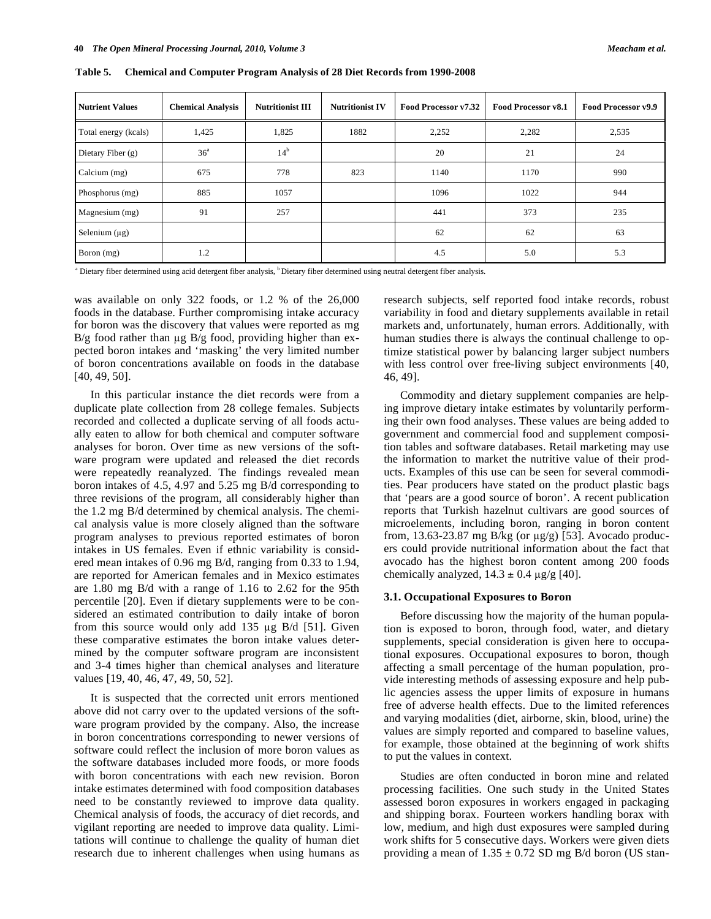| <b>Nutrient Values</b> | <b>Chemical Analysis</b> | <b>Nutritionist III</b> | <b>Nutritionist IV</b> | Food Processor v7.32 | <b>Food Processor v8.1</b> | Food Processor v9.9 |
|------------------------|--------------------------|-------------------------|------------------------|----------------------|----------------------------|---------------------|
| Total energy (kcals)   | 1,425                    | 1,825                   | 1882                   | 2,252                | 2,282                      | 2,535               |
| Dietary Fiber $(g)$    | 36 <sup>a</sup>          | $14^{\rm b}$            |                        | 20                   | 21                         | 24                  |
| Calcium (mg)           | 675                      | 778                     | 823                    | 1140                 | 1170                       | 990                 |
| Phosphorus (mg)        | 885                      | 1057                    |                        | 1096                 | 1022                       | 944                 |
| Magnesium (mg)         | 91                       | 257                     |                        | 441                  | 373                        | 235                 |
| Selenium $(\mu g)$     |                          |                         |                        | 62                   | 62                         | 63                  |
| Boron (mg)             | 1.2                      |                         |                        | 4.5                  | 5.0                        | 5.3                 |

**Table 5. Chemical and Computer Program Analysis of 28 Diet Records from 1990-2008** 

<sup>a</sup> Dietary fiber determined using acid detergent fiber analysis, <sup>b</sup> Dietary fiber determined using neutral detergent fiber analysis.

was available on only 322 foods, or 1.2 % of the 26,000 foods in the database. Further compromising intake accuracy for boron was the discovery that values were reported as mg B/g food rather than  $\mu$ g B/g food, providing higher than expected boron intakes and 'masking' the very limited number of boron concentrations available on foods in the database [40, 49, 50].

 In this particular instance the diet records were from a duplicate plate collection from 28 college females. Subjects recorded and collected a duplicate serving of all foods actually eaten to allow for both chemical and computer software analyses for boron. Over time as new versions of the software program were updated and released the diet records were repeatedly reanalyzed. The findings revealed mean boron intakes of 4.5, 4.97 and 5.25 mg B/d corresponding to three revisions of the program, all considerably higher than the 1.2 mg B/d determined by chemical analysis. The chemical analysis value is more closely aligned than the software program analyses to previous reported estimates of boron intakes in US females. Even if ethnic variability is considered mean intakes of 0.96 mg B/d, ranging from 0.33 to 1.94, are reported for American females and in Mexico estimates are 1.80 mg B/d with a range of 1.16 to 2.62 for the 95th percentile [20]. Even if dietary supplements were to be considered an estimated contribution to daily intake of boron from this source would only add 135  $\mu$ g B/d [51]. Given these comparative estimates the boron intake values determined by the computer software program are inconsistent and 3-4 times higher than chemical analyses and literature values [19, 40, 46, 47, 49, 50, 52].

 It is suspected that the corrected unit errors mentioned above did not carry over to the updated versions of the software program provided by the company. Also, the increase in boron concentrations corresponding to newer versions of software could reflect the inclusion of more boron values as the software databases included more foods, or more foods with boron concentrations with each new revision. Boron intake estimates determined with food composition databases need to be constantly reviewed to improve data quality. Chemical analysis of foods, the accuracy of diet records, and vigilant reporting are needed to improve data quality. Limitations will continue to challenge the quality of human diet research due to inherent challenges when using humans as research subjects, self reported food intake records, robust variability in food and dietary supplements available in retail markets and, unfortunately, human errors. Additionally, with human studies there is always the continual challenge to optimize statistical power by balancing larger subject numbers with less control over free-living subject environments [40, 46, 49].

 Commodity and dietary supplement companies are helping improve dietary intake estimates by voluntarily performing their own food analyses. These values are being added to government and commercial food and supplement composition tables and software databases. Retail marketing may use the information to market the nutritive value of their products. Examples of this use can be seen for several commodities. Pear producers have stated on the product plastic bags that 'pears are a good source of boron'. A recent publication reports that Turkish hazelnut cultivars are good sources of microelements, including boron, ranging in boron content from, 13.63-23.87 mg B/kg (or  $\mu$ g/g) [53]. Avocado producers could provide nutritional information about the fact that avocado has the highest boron content among 200 foods chemically analyzed,  $14.3 \pm 0.4 \,\mu$ g/g [40].

### **3.1. Occupational Exposures to Boron**

 Before discussing how the majority of the human population is exposed to boron, through food, water, and dietary supplements, special consideration is given here to occupational exposures. Occupational exposures to boron, though affecting a small percentage of the human population, provide interesting methods of assessing exposure and help public agencies assess the upper limits of exposure in humans free of adverse health effects. Due to the limited references and varying modalities (diet, airborne, skin, blood, urine) the values are simply reported and compared to baseline values, for example, those obtained at the beginning of work shifts to put the values in context.

 Studies are often conducted in boron mine and related processing facilities. One such study in the United States assessed boron exposures in workers engaged in packaging and shipping borax. Fourteen workers handling borax with low, medium, and high dust exposures were sampled during work shifts for 5 consecutive days. Workers were given diets providing a mean of  $1.35 \pm 0.72$  SD mg B/d boron (US stan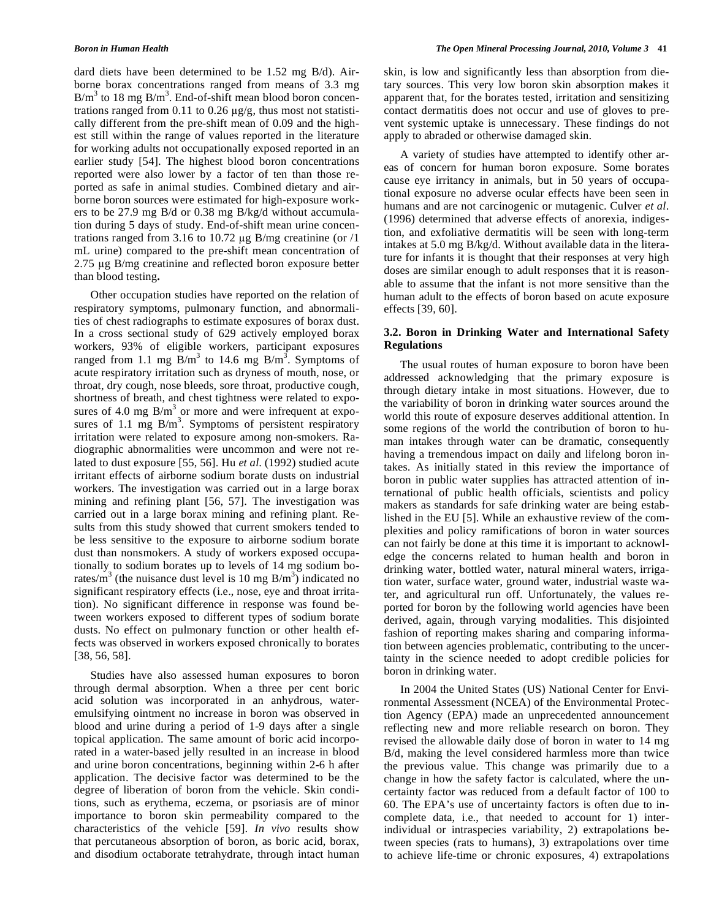dard diets have been determined to be 1.52 mg B/d). Airborne borax concentrations ranged from means of 3.3 mg  $B/m<sup>3</sup>$  to 18 mg  $B/m<sup>3</sup>$ . End-of-shift mean blood boron concentrations ranged from 0.11 to 0.26  $\mu$ g/g, thus most not statistically different from the pre-shift mean of 0.09 and the highest still within the range of values reported in the literature for working adults not occupationally exposed reported in an earlier study [54]. The highest blood boron concentrations reported were also lower by a factor of ten than those reported as safe in animal studies. Combined dietary and airborne boron sources were estimated for high-exposure workers to be 27.9 mg B/d or 0.38 mg B/kg/d without accumulation during 5 days of study. End-of-shift mean urine concentrations ranged from 3.16 to 10.72  $\mu$ g B/mg creatinine (or /1) mL urine) compared to the pre-shift mean concentration of  $2.75 \mu$ g B/mg creatinine and reflected boron exposure better than blood testing**.** 

 Other occupation studies have reported on the relation of respiratory symptoms, pulmonary function, and abnormalities of chest radiographs to estimate exposures of borax dust. In a cross sectional study of 629 actively employed borax workers, 93% of eligible workers, participant exposures ranged from 1.1 mg  $\overline{B/m}^3$  to 14.6 mg  $\overline{B/m}^3$ . Symptoms of acute respiratory irritation such as dryness of mouth, nose, or throat, dry cough, nose bleeds, sore throat, productive cough, shortness of breath, and chest tightness were related to exposures of 4.0 mg  $B/m<sup>3</sup>$  or more and were infrequent at exposures of 1.1 mg  $B/m<sup>3</sup>$ . Symptoms of persistent respiratory irritation were related to exposure among non-smokers. Radiographic abnormalities were uncommon and were not related to dust exposure [55, 56]. Hu *et al*. (1992) studied acute irritant effects of airborne sodium borate dusts on industrial workers. The investigation was carried out in a large borax mining and refining plant [56, 57]. The investigation was carried out in a large borax mining and refining plant. Results from this study showed that current smokers tended to be less sensitive to the exposure to airborne sodium borate dust than nonsmokers. A study of workers exposed occupationally to sodium borates up to levels of 14 mg sodium borates/m<sup>3</sup> (the nuisance dust level is 10 mg B/m<sup>3</sup>) indicated no significant respiratory effects (i.e., nose, eye and throat irritation). No significant difference in response was found between workers exposed to different types of sodium borate dusts. No effect on pulmonary function or other health effects was observed in workers exposed chronically to borates [38, 56, 58].

 Studies have also assessed human exposures to boron through dermal absorption. When a three per cent boric acid solution was incorporated in an anhydrous, wateremulsifying ointment no increase in boron was observed in blood and urine during a period of 1-9 days after a single topical application. The same amount of boric acid incorporated in a water-based jelly resulted in an increase in blood and urine boron concentrations, beginning within 2-6 h after application. The decisive factor was determined to be the degree of liberation of boron from the vehicle. Skin conditions, such as erythema, eczema, or psoriasis are of minor importance to boron skin permeability compared to the characteristics of the vehicle [59]. *In vivo* results show that percutaneous absorption of boron, as boric acid, borax, and disodium octaborate tetrahydrate, through intact human

skin, is low and significantly less than absorption from dietary sources. This very low boron skin absorption makes it apparent that, for the borates tested, irritation and sensitizing contact dermatitis does not occur and use of gloves to prevent systemic uptake is unnecessary. These findings do not apply to abraded or otherwise damaged skin.

 A variety of studies have attempted to identify other areas of concern for human boron exposure. Some borates cause eye irritancy in animals, but in 50 years of occupational exposure no adverse ocular effects have been seen in humans and are not carcinogenic or mutagenic. Culver *et al*. (1996) determined that adverse effects of anorexia, indigestion, and exfoliative dermatitis will be seen with long-term intakes at 5.0 mg B/kg/d. Without available data in the literature for infants it is thought that their responses at very high doses are similar enough to adult responses that it is reasonable to assume that the infant is not more sensitive than the human adult to the effects of boron based on acute exposure effects [39, 60].

### **3.2. Boron in Drinking Water and International Safety Regulations**

 The usual routes of human exposure to boron have been addressed acknowledging that the primary exposure is through dietary intake in most situations. However, due to the variability of boron in drinking water sources around the world this route of exposure deserves additional attention. In some regions of the world the contribution of boron to human intakes through water can be dramatic, consequently having a tremendous impact on daily and lifelong boron intakes. As initially stated in this review the importance of boron in public water supplies has attracted attention of international of public health officials, scientists and policy makers as standards for safe drinking water are being established in the EU [5]. While an exhaustive review of the complexities and policy ramifications of boron in water sources can not fairly be done at this time it is important to acknowledge the concerns related to human health and boron in drinking water, bottled water, natural mineral waters, irrigation water, surface water, ground water, industrial waste water, and agricultural run off. Unfortunately, the values reported for boron by the following world agencies have been derived, again, through varying modalities. This disjointed fashion of reporting makes sharing and comparing information between agencies problematic, contributing to the uncertainty in the science needed to adopt credible policies for boron in drinking water.

 In 2004 the United States (US) National Center for Environmental Assessment (NCEA) of the Environmental Protection Agency (EPA) made an unprecedented announcement reflecting new and more reliable research on boron. They revised the allowable daily dose of boron in water to 14 mg B/d, making the level considered harmless more than twice the previous value. This change was primarily due to a change in how the safety factor is calculated, where the uncertainty factor was reduced from a default factor of 100 to 60. The EPA's use of uncertainty factors is often due to incomplete data, i.e., that needed to account for 1) interindividual or intraspecies variability, 2) extrapolations between species (rats to humans), 3) extrapolations over time to achieve life-time or chronic exposures, 4) extrapolations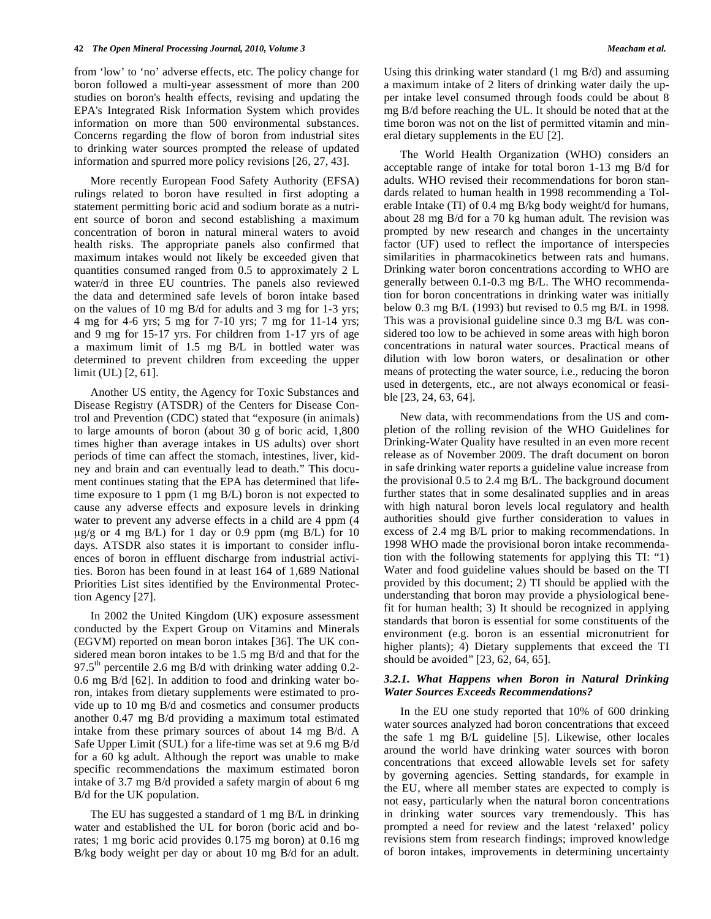from 'low' to 'no' adverse effects, etc. The policy change for boron followed a multi-year assessment of more than 200 studies on boron's health effects, revising and updating the EPA's Integrated Risk Information System which provides information on more than 500 environmental substances. Concerns regarding the flow of boron from industrial sites to drinking water sources prompted the release of updated information and spurred more policy revisions [26, 27, 43].

 More recently European Food Safety Authority (EFSA) rulings related to boron have resulted in first adopting a statement permitting boric acid and sodium borate as a nutrient source of boron and second establishing a maximum concentration of boron in natural mineral waters to avoid health risks. The appropriate panels also confirmed that maximum intakes would not likely be exceeded given that quantities consumed ranged from 0.5 to approximately 2 L water/d in three EU countries. The panels also reviewed the data and determined safe levels of boron intake based on the values of 10 mg B/d for adults and 3 mg for 1-3 yrs; 4 mg for 4-6 yrs; 5 mg for 7-10 yrs; 7 mg for 11-14 yrs; and 9 mg for 15-17 yrs. For children from 1-17 yrs of age a maximum limit of 1.5 mg B/L in bottled water was determined to prevent children from exceeding the upper limit (UL) [2, 61].

 Another US entity, the Agency for Toxic Substances and Disease Registry (ATSDR) of the Centers for Disease Control and Prevention (CDC) stated that "exposure (in animals) to large amounts of boron (about 30 g of boric acid, 1,800 times higher than average intakes in US adults) over short periods of time can affect the stomach, intestines, liver, kidney and brain and can eventually lead to death." This document continues stating that the EPA has determined that lifetime exposure to 1 ppm (1 mg B/L) boron is not expected to cause any adverse effects and exposure levels in drinking water to prevent any adverse effects in a child are 4 ppm (4  $\mu$ g/g or 4 mg B/L) for 1 day or 0.9 ppm (mg B/L) for 10 days. ATSDR also states it is important to consider influences of boron in effluent discharge from industrial activities. Boron has been found in at least 164 of 1,689 National Priorities List sites identified by the Environmental Protection Agency [27].

 In 2002 the United Kingdom (UK) exposure assessment conducted by the Expert Group on Vitamins and Minerals (EGVM) reported on mean boron intakes [36]. The UK considered mean boron intakes to be 1.5 mg B/d and that for the 97.5<sup>th</sup> percentile 2.6 mg B/d with drinking water adding 0.2-0.6 mg B/d [62]. In addition to food and drinking water boron, intakes from dietary supplements were estimated to provide up to 10 mg B/d and cosmetics and consumer products another 0.47 mg B/d providing a maximum total estimated intake from these primary sources of about 14 mg B/d. A Safe Upper Limit (SUL) for a life*-*time was set at 9.6 mg B/d for a 60 kg adult. Although the report was unable to make specific recommendations the maximum estimated boron intake of 3.7 mg B/d provided a safety margin of about 6 mg B/d for the UK population.

 The EU has suggested a standard of 1 mg B/L in drinking water and established the UL for boron (boric acid and borates; 1 mg boric acid provides 0.175 mg boron) at 0.16 mg B/kg body weight per day or about 10 mg B/d for an adult. Using this drinking water standard (1 mg B/d) and assuming a maximum intake of 2 liters of drinking water daily the upper intake level consumed through foods could be about 8 mg B/d before reaching the UL. It should be noted that at the time boron was not on the list of permitted vitamin and mineral dietary supplements in the EU [2].

 The World Health Organization (WHO) considers an acceptable range of intake for total boron 1-13 mg B/d for adults. WHO revised their recommendations for boron standards related to human health in 1998 recommending a Tolerable Intake (TI) of 0.4 mg B/kg body weight/d for humans, about 28 mg B/d for a 70 kg human adult. The revision was prompted by new research and changes in the uncertainty factor (UF) used to reflect the importance of interspecies similarities in pharmacokinetics between rats and humans. Drinking water boron concentrations according to WHO are generally between 0.1-0.3 mg B/L. The WHO recommendation for boron concentrations in drinking water was initially below 0.3 mg B/L (1993) but revised to 0.5 mg B/L in 1998. This was a provisional guideline since 0.3 mg B/L was considered too low to be achieved in some areas with high boron concentrations in natural water sources. Practical means of dilution with low boron waters, or desalination or other means of protecting the water source, i.e., reducing the boron used in detergents, etc., are not always economical or feasible [23, 24, 63, 64].

 New data, with recommendations from the US and completion of the rolling revision of the WHO Guidelines for Drinking-Water Quality have resulted in an even more recent release as of November 2009. The draft document on boron in safe drinking water reports a guideline value increase from the provisional 0.5 to 2.4 mg B/L. The background document further states that in some desalinated supplies and in areas with high natural boron levels local regulatory and health authorities should give further consideration to values in excess of 2.4 mg B/L prior to making recommendations. In 1998 WHO made the provisional boron intake recommendation with the following statements for applying this TI: "1) Water and food guideline values should be based on the TI provided by this document; 2) TI should be applied with the understanding that boron may provide a physiological benefit for human health; 3) It should be recognized in applying standards that boron is essential for some constituents of the environment (e.g. boron is an essential micronutrient for higher plants); 4) Dietary supplements that exceed the TI should be avoided" [23, 62, 64, 65].

### *3.2.1. What Happens when Boron in Natural Drinking Water Sources Exceeds Recommendations?*

 In the EU one study reported that 10% of 600 drinking water sources analyzed had boron concentrations that exceed the safe 1 mg B/L guideline [5]. Likewise, other locales around the world have drinking water sources with boron concentrations that exceed allowable levels set for safety by governing agencies. Setting standards, for example in the EU, where all member states are expected to comply is not easy, particularly when the natural boron concentrations in drinking water sources vary tremendously. This has prompted a need for review and the latest 'relaxed' policy revisions stem from research findings; improved knowledge of boron intakes, improvements in determining uncertainty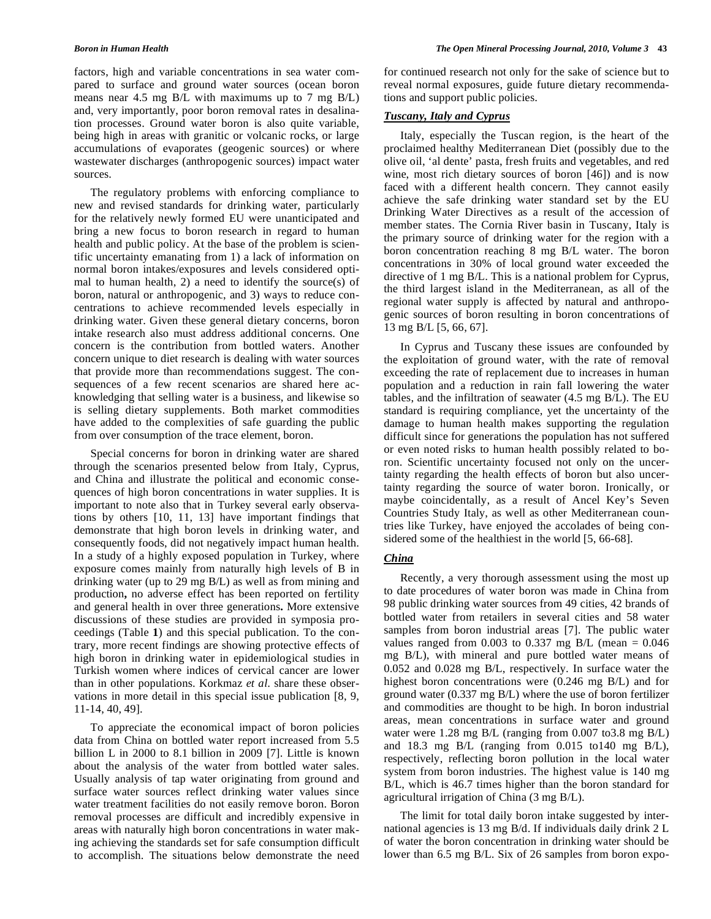factors, high and variable concentrations in sea water compared to surface and ground water sources (ocean boron means near 4.5 mg B/L with maximums up to 7 mg B/L) and, very importantly, poor boron removal rates in desalination processes. Ground water boron is also quite variable, being high in areas with granitic or volcanic rocks, or large accumulations of evaporates (geogenic sources) or where wastewater discharges (anthropogenic sources) impact water sources.

 The regulatory problems with enforcing compliance to new and revised standards for drinking water, particularly for the relatively newly formed EU were unanticipated and bring a new focus to boron research in regard to human health and public policy. At the base of the problem is scientific uncertainty emanating from 1) a lack of information on normal boron intakes/exposures and levels considered optimal to human health, 2) a need to identify the source(s) of boron, natural or anthropogenic, and 3) ways to reduce concentrations to achieve recommended levels especially in drinking water. Given these general dietary concerns, boron intake research also must address additional concerns. One concern is the contribution from bottled waters. Another concern unique to diet research is dealing with water sources that provide more than recommendations suggest. The consequences of a few recent scenarios are shared here acknowledging that selling water is a business, and likewise so is selling dietary supplements. Both market commodities have added to the complexities of safe guarding the public from over consumption of the trace element, boron.

 Special concerns for boron in drinking water are shared through the scenarios presented below from Italy, Cyprus, and China and illustrate the political and economic consequences of high boron concentrations in water supplies. It is important to note also that in Turkey several early observations by others [10, 11, 13] have important findings that demonstrate that high boron levels in drinking water, and consequently foods, did not negatively impact human health. In a study of a highly exposed population in Turkey, where exposure comes mainly from naturally high levels of B in drinking water (up to 29 mg B/L) as well as from mining and production**,** no adverse effect has been reported on fertility and general health in over three generations**.** More extensive discussions of these studies are provided in symposia proceedings (Table **1**) and this special publication. To the contrary, more recent findings are showing protective effects of high boron in drinking water in epidemiological studies in Turkish women where indices of cervical cancer are lower than in other populations. Korkmaz *et al*. share these observations in more detail in this special issue publication [8, 9, 11-14, 40, 49].

 To appreciate the economical impact of boron policies data from China on bottled water report increased from 5.5 billion L in 2000 to 8.1 billion in 2009 [7]. Little is known about the analysis of the water from bottled water sales. Usually analysis of tap water originating from ground and surface water sources reflect drinking water values since water treatment facilities do not easily remove boron. Boron removal processes are difficult and incredibly expensive in areas with naturally high boron concentrations in water making achieving the standards set for safe consumption difficult to accomplish. The situations below demonstrate the need

for continued research not only for the sake of science but to reveal normal exposures, guide future dietary recommendations and support public policies.

### *Tuscany, Italy and Cyprus*

 Italy, especially the Tuscan region, is the heart of the proclaimed healthy Mediterranean Diet (possibly due to the olive oil, 'al dente' pasta, fresh fruits and vegetables, and red wine, most rich dietary sources of boron [46]) and is now faced with a different health concern. They cannot easily achieve the safe drinking water standard set by the EU Drinking Water Directives as a result of the accession of member states. The Cornia River basin in Tuscany, Italy is the primary source of drinking water for the region with a boron concentration reaching 8 mg B/L water. The boron concentrations in 30% of local ground water exceeded the directive of 1 mg B/L. This is a national problem for Cyprus, the third largest island in the Mediterranean, as all of the regional water supply is affected by natural and anthropogenic sources of boron resulting in boron concentrations of 13 mg B/L [5, 66, 67].

 In Cyprus and Tuscany these issues are confounded by the exploitation of ground water, with the rate of removal exceeding the rate of replacement due to increases in human population and a reduction in rain fall lowering the water tables, and the infiltration of seawater (4.5 mg B/L). The EU standard is requiring compliance, yet the uncertainty of the damage to human health makes supporting the regulation difficult since for generations the population has not suffered or even noted risks to human health possibly related to boron. Scientific uncertainty focused not only on the uncertainty regarding the health effects of boron but also uncertainty regarding the source of water boron. Ironically, or maybe coincidentally, as a result of Ancel Key's Seven Countries Study Italy, as well as other Mediterranean countries like Turkey, have enjoyed the accolades of being considered some of the healthiest in the world [5, 66-68].

## *China*

 Recently, a very thorough assessment using the most up to date procedures of water boron was made in China from 98 public drinking water sources from 49 cities, 42 brands of bottled water from retailers in several cities and 58 water samples from boron industrial areas [7]. The public water values ranged from  $0.003$  to  $0.337$  mg B/L (mean =  $0.046$ ) mg B/L), with mineral and pure bottled water means of 0.052 and 0.028 mg B/L, respectively. In surface water the highest boron concentrations were (0.246 mg B/L) and for ground water (0.337 mg B/L) where the use of boron fertilizer and commodities are thought to be high. In boron industrial areas, mean concentrations in surface water and ground water were 1.28 mg B/L (ranging from 0.007 to3.8 mg B/L) and 18.3 mg B/L (ranging from 0.015 to140 mg B/L), respectively, reflecting boron pollution in the local water system from boron industries. The highest value is 140 mg B/L, which is 46.7 times higher than the boron standard for agricultural irrigation of China (3 mg B/L).

 The limit for total daily boron intake suggested by international agencies is 13 mg B/d. If individuals daily drink 2 L of water the boron concentration in drinking water should be lower than 6.5 mg B/L. Six of 26 samples from boron expo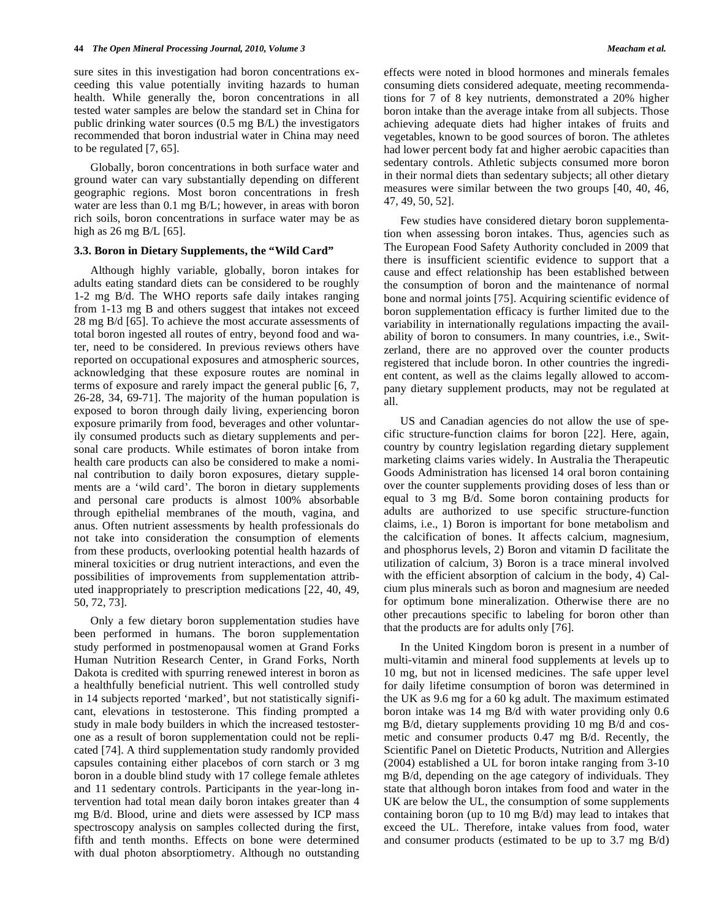sure sites in this investigation had boron concentrations exceeding this value potentially inviting hazards to human health. While generally the, boron concentrations in all tested water samples are below the standard set in China for public drinking water sources (0.5 mg B/L) the investigators recommended that boron industrial water in China may need to be regulated [7, 65].

 Globally, boron concentrations in both surface water and ground water can vary substantially depending on different geographic regions. Most boron concentrations in fresh water are less than 0.1 mg B/L; however, in areas with boron rich soils, boron concentrations in surface water may be as high as 26 mg B/L [65].

### **3.3. Boron in Dietary Supplements, the "Wild Card"**

 Although highly variable, globally, boron intakes for adults eating standard diets can be considered to be roughly 1-2 mg B/d. The WHO reports safe daily intakes ranging from 1-13 mg B and others suggest that intakes not exceed 28 mg B/d [65]. To achieve the most accurate assessments of total boron ingested all routes of entry, beyond food and water, need to be considered. In previous reviews others have reported on occupational exposures and atmospheric sources, acknowledging that these exposure routes are nominal in terms of exposure and rarely impact the general public [6, 7, 26-28, 34, 69-71]. The majority of the human population is exposed to boron through daily living, experiencing boron exposure primarily from food, beverages and other voluntarily consumed products such as dietary supplements and personal care products. While estimates of boron intake from health care products can also be considered to make a nominal contribution to daily boron exposures, dietary supplements are a 'wild card'. The boron in dietary supplements and personal care products is almost 100% absorbable through epithelial membranes of the mouth, vagina, and anus. Often nutrient assessments by health professionals do not take into consideration the consumption of elements from these products, overlooking potential health hazards of mineral toxicities or drug nutrient interactions, and even the possibilities of improvements from supplementation attributed inappropriately to prescription medications [22, 40, 49, 50, 72, 73].

 Only a few dietary boron supplementation studies have been performed in humans. The boron supplementation study performed in postmenopausal women at Grand Forks Human Nutrition Research Center, in Grand Forks, North Dakota is credited with spurring renewed interest in boron as a healthfully beneficial nutrient. This well controlled study in 14 subjects reported 'marked', but not statistically significant, elevations in testosterone. This finding prompted a study in male body builders in which the increased testosterone as a result of boron supplementation could not be replicated [74]. A third supplementation study randomly provided capsules containing either placebos of corn starch or 3 mg boron in a double blind study with 17 college female athletes and 11 sedentary controls. Participants in the year-long intervention had total mean daily boron intakes greater than 4 mg B/d. Blood, urine and diets were assessed by ICP mass spectroscopy analysis on samples collected during the first, fifth and tenth months. Effects on bone were determined with dual photon absorptiometry. Although no outstanding effects were noted in blood hormones and minerals females consuming diets considered adequate, meeting recommendations for 7 of 8 key nutrients, demonstrated a 20% higher boron intake than the average intake from all subjects. Those achieving adequate diets had higher intakes of fruits and vegetables, known to be good sources of boron. The athletes had lower percent body fat and higher aerobic capacities than sedentary controls. Athletic subjects consumed more boron in their normal diets than sedentary subjects; all other dietary measures were similar between the two groups [40, 40, 46, 47, 49, 50, 52].

 Few studies have considered dietary boron supplementation when assessing boron intakes. Thus, agencies such as The European Food Safety Authority concluded in 2009 that there is insufficient scientific evidence to support that a cause and effect relationship has been established between the consumption of boron and the maintenance of normal bone and normal joints [75]. Acquiring scientific evidence of boron supplementation efficacy is further limited due to the variability in internationally regulations impacting the availability of boron to consumers. In many countries, i.e., Switzerland, there are no approved over the counter products registered that include boron. In other countries the ingredient content, as well as the claims legally allowed to accompany dietary supplement products, may not be regulated at all.

 US and Canadian agencies do not allow the use of specific structure-function claims for boron [22]. Here, again, country by country legislation regarding dietary supplement marketing claims varies widely. In Australia the Therapeutic Goods Administration has licensed 14 oral boron containing over the counter supplements providing doses of less than or equal to 3 mg B/d. Some boron containing products for adults are authorized to use specific structure-function claims, i.e., 1) Boron is important for bone metabolism and the calcification of bones. It affects calcium, magnesium, and phosphorus levels, 2) Boron and vitamin D facilitate the utilization of calcium, 3) Boron is a trace mineral involved with the efficient absorption of calcium in the body, 4) Calcium plus minerals such as boron and magnesium are needed for optimum bone mineralization. Otherwise there are no other precautions specific to labeling for boron other than that the products are for adults only [76].

 In the United Kingdom boron is present in a number of multi-vitamin and mineral food supplements at levels up to 10 mg, but not in licensed medicines. The safe upper level for daily lifetime consumption of boron was determined in the UK as 9.6 mg for a 60 kg adult. The maximum estimated boron intake was 14 mg B/d with water providing only 0.6 mg B/d, dietary supplements providing 10 mg B/d and cosmetic and consumer products 0.47 mg B/d. Recently, the Scientific Panel on Dietetic Products, Nutrition and Allergies (2004) established a UL for boron intake ranging from 3-10 mg B/d, depending on the age category of individuals. They state that although boron intakes from food and water in the UK are below the UL, the consumption of some supplements containing boron (up to 10 mg B/d) may lead to intakes that exceed the UL. Therefore, intake values from food, water and consumer products (estimated to be up to 3.7 mg B/d)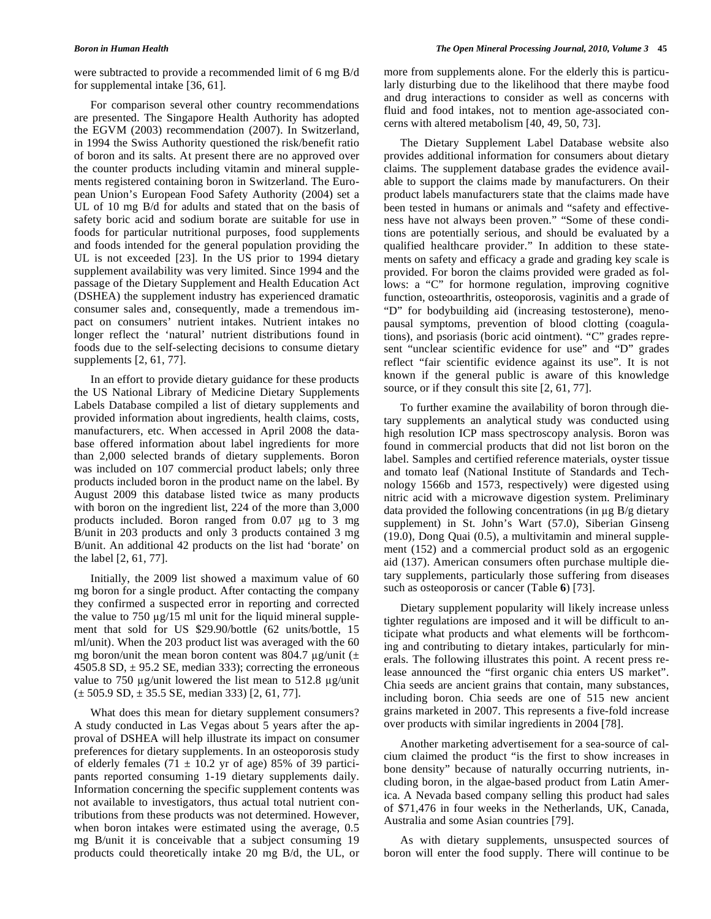were subtracted to provide a recommended limit of 6 mg B/d for supplemental intake [36, 61].

 For comparison several other country recommendations are presented. The Singapore Health Authority has adopted the EGVM (2003) recommendation (2007). In Switzerland, in 1994 the Swiss Authority questioned the risk/benefit ratio of boron and its salts. At present there are no approved over the counter products including vitamin and mineral supplements registered containing boron in Switzerland. The European Union's European Food Safety Authority (2004) set a UL of 10 mg B/d for adults and stated that on the basis of safety boric acid and sodium borate are suitable for use in foods for particular nutritional purposes, food supplements and foods intended for the general population providing the UL is not exceeded [23]. In the US prior to 1994 dietary supplement availability was very limited. Since 1994 and the passage of the Dietary Supplement and Health Education Act (DSHEA) the supplement industry has experienced dramatic consumer sales and, consequently, made a tremendous impact on consumers' nutrient intakes. Nutrient intakes no longer reflect the 'natural' nutrient distributions found in foods due to the self-selecting decisions to consume dietary supplements [2, 61, 77].

 In an effort to provide dietary guidance for these products the US National Library of Medicine Dietary Supplements Labels Database compiled a list of dietary supplements and provided information about ingredients, health claims, costs, manufacturers, etc. When accessed in April 2008 the database offered information about label ingredients for more than 2,000 selected brands of dietary supplements. Boron was included on 107 commercial product labels; only three products included boron in the product name on the label. By August 2009 this database listed twice as many products with boron on the ingredient list, 224 of the more than 3,000 products included. Boron ranged from  $0.07 \mu g$  to 3 mg B/unit in 203 products and only 3 products contained 3 mg B/unit. An additional 42 products on the list had 'borate' on the label [2, 61, 77].

 Initially, the 2009 list showed a maximum value of 60 mg boron for a single product. After contacting the company they confirmed a suspected error in reporting and corrected the value to  $750 \mu g/15$  ml unit for the liquid mineral supplement that sold for US \$29.90/bottle (62 units/bottle, 15 ml/unit). When the 203 product list was averaged with the 60 mg boron/unit the mean boron content was 804.7  $\mu$ g/unit ( $\pm$ 4505.8 SD,  $\pm$  95.2 SE, median 333); correcting the erroneous value to 750  $\mu$ g/unit lowered the list mean to 512.8  $\mu$ g/unit  $(\pm 505.9 \text{ SD}, \pm 35.5 \text{ SE}, \text{median } 333)$  [2, 61, 77].

 What does this mean for dietary supplement consumers? A study conducted in Las Vegas about 5 years after the approval of DSHEA will help illustrate its impact on consumer preferences for dietary supplements. In an osteoporosis study of elderly females (71  $\pm$  10.2 yr of age) 85% of 39 participants reported consuming 1-19 dietary supplements daily. Information concerning the specific supplement contents was not available to investigators, thus actual total nutrient contributions from these products was not determined. However, when boron intakes were estimated using the average, 0.5 mg B/unit it is conceivable that a subject consuming 19 products could theoretically intake 20 mg B/d, the UL, or

more from supplements alone. For the elderly this is particularly disturbing due to the likelihood that there maybe food and drug interactions to consider as well as concerns with fluid and food intakes, not to mention age-associated concerns with altered metabolism [40, 49, 50, 73].

 The Dietary Supplement Label Database website also provides additional information for consumers about dietary claims. The supplement database grades the evidence available to support the claims made by manufacturers. On their product labels manufacturers state that the claims made have been tested in humans or animals and "safety and effectiveness have not always been proven." "Some of these conditions are potentially serious, and should be evaluated by a qualified healthcare provider." In addition to these statements on safety and efficacy a grade and grading key scale is provided. For boron the claims provided were graded as follows: a "C" for hormone regulation, improving cognitive function, osteoarthritis, osteoporosis, vaginitis and a grade of "D" for bodybuilding aid (increasing testosterone), menopausal symptoms, prevention of blood clotting (coagulations), and psoriasis (boric acid ointment). "C" grades represent "unclear scientific evidence for use" and "D" grades reflect "fair scientific evidence against its use". It is not known if the general public is aware of this knowledge source, or if they consult this site  $[2, 61, 77]$ .

 To further examine the availability of boron through dietary supplements an analytical study was conducted using high resolution ICP mass spectroscopy analysis. Boron was found in commercial products that did not list boron on the label. Samples and certified reference materials, oyster tissue and tomato leaf (National Institute of Standards and Technology 1566b and 1573, respectively) were digested using nitric acid with a microwave digestion system. Preliminary data provided the following concentrations (in  $\mu$ g B/g dietary supplement) in St. John's Wart (57.0), Siberian Ginseng (19.0), Dong Quai (0.5), a multivitamin and mineral supplement (152) and a commercial product sold as an ergogenic aid (137). American consumers often purchase multiple dietary supplements, particularly those suffering from diseases such as osteoporosis or cancer (Table **6**) [73].

 Dietary supplement popularity will likely increase unless tighter regulations are imposed and it will be difficult to anticipate what products and what elements will be forthcoming and contributing to dietary intakes, particularly for minerals. The following illustrates this point. A recent press release announced the "first organic chia enters US market". Chia seeds are ancient grains that contain, many substances, including boron. Chia seeds are one of 515 new ancient grains marketed in 2007. This represents a five-fold increase over products with similar ingredients in 2004 [78].

 Another marketing advertisement for a sea-source of calcium claimed the product "is the first to show increases in bone density" because of naturally occurring nutrients, including boron, in the algae-based product from Latin America. A Nevada based company selling this product had sales of \$71,476 in four weeks in the Netherlands, UK, Canada, Australia and some Asian countries [79].

 As with dietary supplements, unsuspected sources of boron will enter the food supply. There will continue to be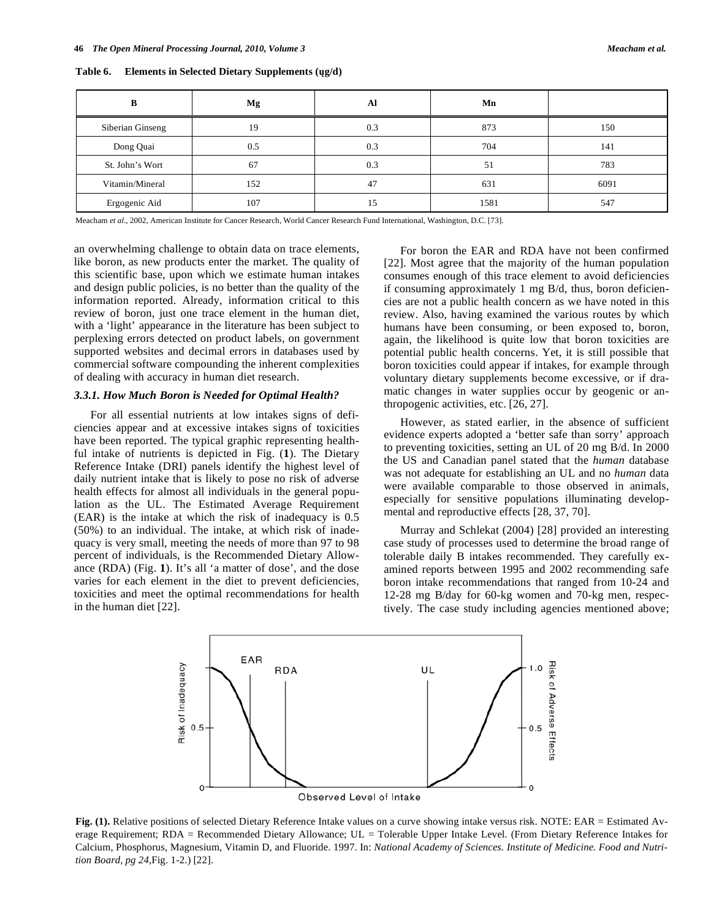| B                | Mg  | Al  | Mn   |      |
|------------------|-----|-----|------|------|
| Siberian Ginseng | 19  | 0.3 | 873  | 150  |
| Dong Quai        | 0.5 | 0.3 | 704  | 141  |
| St. John's Wort  | 67  | 0.3 | 51   | 783  |
| Vitamin/Mineral  | 152 | 47  | 631  | 6091 |
| Ergogenic Aid    | 107 | 15  | 1581 | 547  |

**Table 6. Elements in Selected Dietary Supplements (g/d)** 

Meacham *et al*., 2002, American Institute for Cancer Research, World Cancer Research Fund International, Washington, D.C. [73].

an overwhelming challenge to obtain data on trace elements, like boron, as new products enter the market. The quality of this scientific base, upon which we estimate human intakes and design public policies, is no better than the quality of the information reported. Already, information critical to this review of boron, just one trace element in the human diet, with a 'light' appearance in the literature has been subject to perplexing errors detected on product labels, on government supported websites and decimal errors in databases used by commercial software compounding the inherent complexities of dealing with accuracy in human diet research.

### *3.3.1. How Much Boron is Needed for Optimal Health?*

 For all essential nutrients at low intakes signs of deficiencies appear and at excessive intakes signs of toxicities have been reported. The typical graphic representing healthful intake of nutrients is depicted in Fig. (**1**). The Dietary Reference Intake (DRI) panels identify the highest level of daily nutrient intake that is likely to pose no risk of adverse health effects for almost all individuals in the general population as the UL. The Estimated Average Requirement (EAR) is the intake at which the risk of inadequacy is 0.5 (50%) to an individual. The intake, at which risk of inadequacy is very small, meeting the needs of more than 97 to 98 percent of individuals, is the Recommended Dietary Allowance (RDA) (Fig. **1**). It's all 'a matter of dose', and the dose varies for each element in the diet to prevent deficiencies, toxicities and meet the optimal recommendations for health in the human diet [22].

 For boron the EAR and RDA have not been confirmed [22]. Most agree that the majority of the human population consumes enough of this trace element to avoid deficiencies if consuming approximately 1 mg B/d, thus, boron deficiencies are not a public health concern as we have noted in this review. Also, having examined the various routes by which humans have been consuming, or been exposed to, boron, again, the likelihood is quite low that boron toxicities are potential public health concerns. Yet, it is still possible that boron toxicities could appear if intakes, for example through voluntary dietary supplements become excessive, or if dramatic changes in water supplies occur by geogenic or anthropogenic activities, etc. [26, 27].

 However, as stated earlier, in the absence of sufficient evidence experts adopted a 'better safe than sorry' approach to preventing toxicities, setting an UL of 20 mg B/d. In 2000 the US and Canadian panel stated that the *human* database was not adequate for establishing an UL and no *human* data were available comparable to those observed in animals, especially for sensitive populations illuminating developmental and reproductive effects [28, 37, 70].

 Murray and Schlekat (2004) [28] provided an interesting case study of processes used to determine the broad range of tolerable daily B intakes recommended. They carefully examined reports between 1995 and 2002 recommending safe boron intake recommendations that ranged from 10-24 and 12-28 mg B/day for 60-kg women and 70-kg men, respectively. The case study including agencies mentioned above;



Fig. (1). Relative positions of selected Dietary Reference Intake values on a curve showing intake versus risk. NOTE: EAR = Estimated Average Requirement; RDA = Recommended Dietary Allowance; UL = Tolerable Upper Intake Level. (From Dietary Reference Intakes for Calcium, Phosphorus, Magnesium, Vitamin D, and Fluoride. 1997. In: *National Academy of Sciences. Institute of Medicine. Food and Nutrition Board, pg 24,*Fig. 1-2.) [22].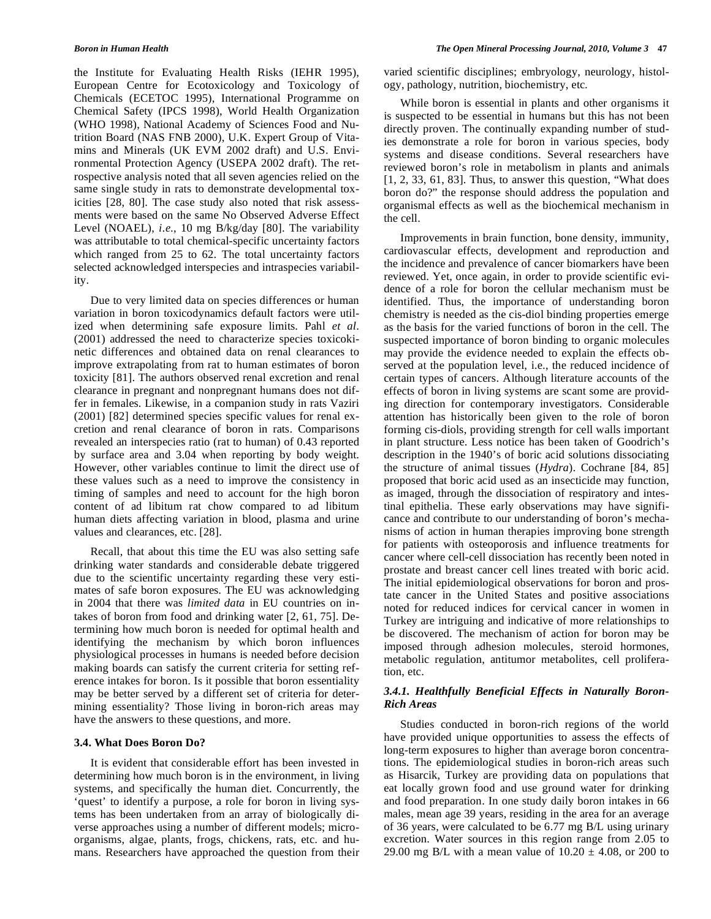the Institute for Evaluating Health Risks (IEHR 1995), European Centre for Ecotoxicology and Toxicology of Chemicals (ECETOC 1995), International Programme on Chemical Safety (IPCS 1998), World Health Organization (WHO 1998), National Academy of Sciences Food and Nutrition Board (NAS FNB 2000), U.K. Expert Group of Vitamins and Minerals (UK EVM 2002 draft) and U.S. Environmental Protection Agency (USEPA 2002 draft). The retrospective analysis noted that all seven agencies relied on the same single study in rats to demonstrate developmental toxicities [28, 80]. The case study also noted that risk assessments were based on the same No Observed Adverse Effect Level (NOAEL), *i.e.*, 10 mg B/kg/day [80]. The variability was attributable to total chemical-specific uncertainty factors which ranged from 25 to 62. The total uncertainty factors selected acknowledged interspecies and intraspecies variability.

 Due to very limited data on species differences or human variation in boron toxicodynamics default factors were utilized when determining safe exposure limits. Pahl *et al*. (2001) addressed the need to characterize species toxicokinetic differences and obtained data on renal clearances to improve extrapolating from rat to human estimates of boron toxicity [81]. The authors observed renal excretion and renal clearance in pregnant and nonpregnant humans does not differ in females. Likewise, in a companion study in rats Vaziri (2001) [82] determined species specific values for renal excretion and renal clearance of boron in rats. Comparisons revealed an interspecies ratio (rat to human) of 0.43 reported by surface area and 3.04 when reporting by body weight. However, other variables continue to limit the direct use of these values such as a need to improve the consistency in timing of samples and need to account for the high boron content of ad libitum rat chow compared to ad libitum human diets affecting variation in blood, plasma and urine values and clearances, etc. [28].

 Recall, that about this time the EU was also setting safe drinking water standards and considerable debate triggered due to the scientific uncertainty regarding these very estimates of safe boron exposures. The EU was acknowledging in 2004 that there was *limited data* in EU countries on intakes of boron from food and drinking water [2, 61, 75]. Determining how much boron is needed for optimal health and identifying the mechanism by which boron influences physiological processes in humans is needed before decision making boards can satisfy the current criteria for setting reference intakes for boron. Is it possible that boron essentiality may be better served by a different set of criteria for determining essentiality? Those living in boron-rich areas may have the answers to these questions, and more.

### **3.4. What Does Boron Do?**

 It is evident that considerable effort has been invested in determining how much boron is in the environment, in living systems, and specifically the human diet. Concurrently, the 'quest' to identify a purpose, a role for boron in living systems has been undertaken from an array of biologically diverse approaches using a number of different models; microorganisms, algae, plants, frogs, chickens, rats, etc. and humans. Researchers have approached the question from their varied scientific disciplines; embryology, neurology, histology, pathology, nutrition, biochemistry, etc.

 While boron is essential in plants and other organisms it is suspected to be essential in humans but this has not been directly proven. The continually expanding number of studies demonstrate a role for boron in various species, body systems and disease conditions. Several researchers have reviewed boron's role in metabolism in plants and animals  $[1, 2, 33, 61, 83]$ . Thus, to answer this question, "What does" boron do?" the response should address the population and organismal effects as well as the biochemical mechanism in the cell.

 Improvements in brain function, bone density, immunity, cardiovascular effects, development and reproduction and the incidence and prevalence of cancer biomarkers have been reviewed. Yet, once again, in order to provide scientific evidence of a role for boron the cellular mechanism must be identified. Thus, the importance of understanding boron chemistry is needed as the cis-diol binding properties emerge as the basis for the varied functions of boron in the cell. The suspected importance of boron binding to organic molecules may provide the evidence needed to explain the effects observed at the population level, i.e., the reduced incidence of certain types of cancers. Although literature accounts of the effects of boron in living systems are scant some are providing direction for contemporary investigators. Considerable attention has historically been given to the role of boron forming cis-diols, providing strength for cell walls important in plant structure. Less notice has been taken of Goodrich's description in the 1940's of boric acid solutions dissociating the structure of animal tissues (*Hydra*). Cochrane [84, 85] proposed that boric acid used as an insecticide may function, as imaged, through the dissociation of respiratory and intestinal epithelia. These early observations may have significance and contribute to our understanding of boron's mechanisms of action in human therapies improving bone strength for patients with osteoporosis and influence treatments for cancer where cell-cell dissociation has recently been noted in prostate and breast cancer cell lines treated with boric acid. The initial epidemiological observations for boron and prostate cancer in the United States and positive associations noted for reduced indices for cervical cancer in women in Turkey are intriguing and indicative of more relationships to be discovered. The mechanism of action for boron may be imposed through adhesion molecules, steroid hormones, metabolic regulation, antitumor metabolites, cell proliferation, etc.

### *3.4.1. Healthfully Beneficial Effects in Naturally Boron-Rich Areas*

 Studies conducted in boron-rich regions of the world have provided unique opportunities to assess the effects of long-term exposures to higher than average boron concentrations. The epidemiological studies in boron-rich areas such as Hisarcik, Turkey are providing data on populations that eat locally grown food and use ground water for drinking and food preparation. In one study daily boron intakes in 66 males, mean age 39 years, residing in the area for an average of 36 years, were calculated to be 6.77 mg B/L using urinary excretion. Water sources in this region range from 2.05 to 29.00 mg B/L with a mean value of  $10.20 \pm 4.08$ , or 200 to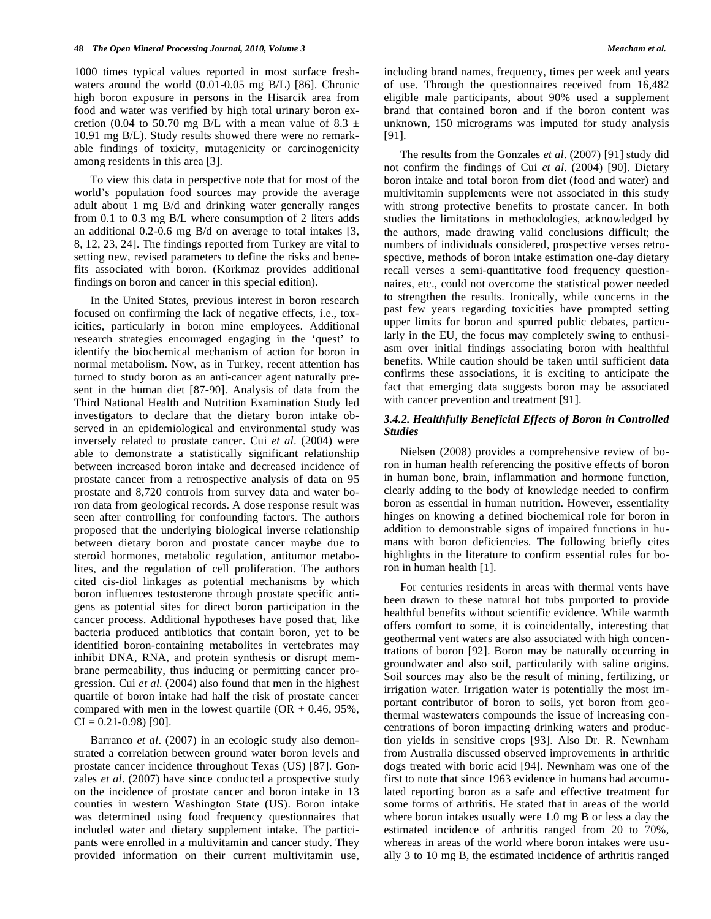1000 times typical values reported in most surface freshwaters around the world (0.01-0.05 mg B/L) [86]. Chronic high boron exposure in persons in the Hisarcik area from food and water was verified by high total urinary boron excretion (0.04 to 50.70 mg B/L with a mean value of 8.3  $\pm$ 10.91 mg B/L). Study results showed there were no remarkable findings of toxicity, mutagenicity or carcinogenicity among residents in this area [3].

 To view this data in perspective note that for most of the world's population food sources may provide the average adult about 1 mg B/d and drinking water generally ranges from 0.1 to 0.3 mg B/L where consumption of 2 liters adds an additional 0.2-0.6 mg B/d on average to total intakes [3, 8, 12, 23, 24]. The findings reported from Turkey are vital to setting new, revised parameters to define the risks and benefits associated with boron. (Korkmaz provides additional findings on boron and cancer in this special edition).

 In the United States, previous interest in boron research focused on confirming the lack of negative effects, i.e., toxicities, particularly in boron mine employees. Additional research strategies encouraged engaging in the 'quest' to identify the biochemical mechanism of action for boron in normal metabolism. Now, as in Turkey, recent attention has turned to study boron as an anti-cancer agent naturally present in the human diet [87-90]. Analysis of data from the Third National Health and Nutrition Examination Study led investigators to declare that the dietary boron intake observed in an epidemiological and environmental study was inversely related to prostate cancer. Cui *et al*. (2004) were able to demonstrate a statistically significant relationship between increased boron intake and decreased incidence of prostate cancer from a retrospective analysis of data on 95 prostate and 8,720 controls from survey data and water boron data from geological records. A dose response result was seen after controlling for confounding factors. The authors proposed that the underlying biological inverse relationship between dietary boron and prostate cancer maybe due to steroid hormones, metabolic regulation, antitumor metabolites, and the regulation of cell proliferation. The authors cited cis-diol linkages as potential mechanisms by which boron influences testosterone through prostate specific antigens as potential sites for direct boron participation in the cancer process. Additional hypotheses have posed that, like bacteria produced antibiotics that contain boron, yet to be identified boron-containing metabolites in vertebrates may inhibit DNA, RNA, and protein synthesis or disrupt membrane permeability, thus inducing or permitting cancer progression. Cui *et al*. (2004) also found that men in the highest quartile of boron intake had half the risk of prostate cancer compared with men in the lowest quartile  $(OR + 0.46, 95\%,$  $CI = 0.21 - 0.98$  [90].

 Barranco *et al*. (2007) in an ecologic study also demonstrated a correlation between ground water boron levels and prostate cancer incidence throughout Texas (US) [87]. Gonzales *et al*. (2007) have since conducted a prospective study on the incidence of prostate cancer and boron intake in 13 counties in western Washington State (US). Boron intake was determined using food frequency questionnaires that included water and dietary supplement intake. The participants were enrolled in a multivitamin and cancer study. They provided information on their current multivitamin use, including brand names, frequency, times per week and years of use. Through the questionnaires received from 16,482 eligible male participants, about 90% used a supplement brand that contained boron and if the boron content was unknown, 150 micrograms was imputed for study analysis [91].

 The results from the Gonzales *et al*. (2007) [91] study did not confirm the findings of Cui *et al*. (2004) [90]. Dietary boron intake and total boron from diet (food and water) and multivitamin supplements were not associated in this study with strong protective benefits to prostate cancer. In both studies the limitations in methodologies, acknowledged by the authors, made drawing valid conclusions difficult; the numbers of individuals considered, prospective verses retrospective, methods of boron intake estimation one-day dietary recall verses a semi-quantitative food frequency questionnaires, etc., could not overcome the statistical power needed to strengthen the results. Ironically, while concerns in the past few years regarding toxicities have prompted setting upper limits for boron and spurred public debates, particularly in the EU, the focus may completely swing to enthusiasm over initial findings associating boron with healthful benefits. While caution should be taken until sufficient data confirms these associations, it is exciting to anticipate the fact that emerging data suggests boron may be associated with cancer prevention and treatment [91].

### *3.4.2. Healthfully Beneficial Effects of Boron in Controlled Studies*

 Nielsen (2008) provides a comprehensive review of boron in human health referencing the positive effects of boron in human bone, brain, inflammation and hormone function, clearly adding to the body of knowledge needed to confirm boron as essential in human nutrition. However, essentiality hinges on knowing a defined biochemical role for boron in addition to demonstrable signs of impaired functions in humans with boron deficiencies. The following briefly cites highlights in the literature to confirm essential roles for boron in human health [1].

 For centuries residents in areas with thermal vents have been drawn to these natural hot tubs purported to provide healthful benefits without scientific evidence. While warmth offers comfort to some, it is coincidentally, interesting that geothermal vent waters are also associated with high concentrations of boron [92]. Boron may be naturally occurring in groundwater and also soil, particularily with saline origins. Soil sources may also be the result of mining, fertilizing, or irrigation water. Irrigation water is potentially the most important contributor of boron to soils, yet boron from geothermal wastewaters compounds the issue of increasing concentrations of boron impacting drinking waters and production yields in sensitive crops [93]. Also Dr. R. Newnham from Australia discussed observed improvements in arthritic dogs treated with boric acid [94]. Newnham was one of the first to note that since 1963 evidence in humans had accumulated reporting boron as a safe and effective treatment for some forms of arthritis. He stated that in areas of the world where boron intakes usually were 1.0 mg B or less a day the estimated incidence of arthritis ranged from 20 to 70%, whereas in areas of the world where boron intakes were usually 3 to 10 mg B, the estimated incidence of arthritis ranged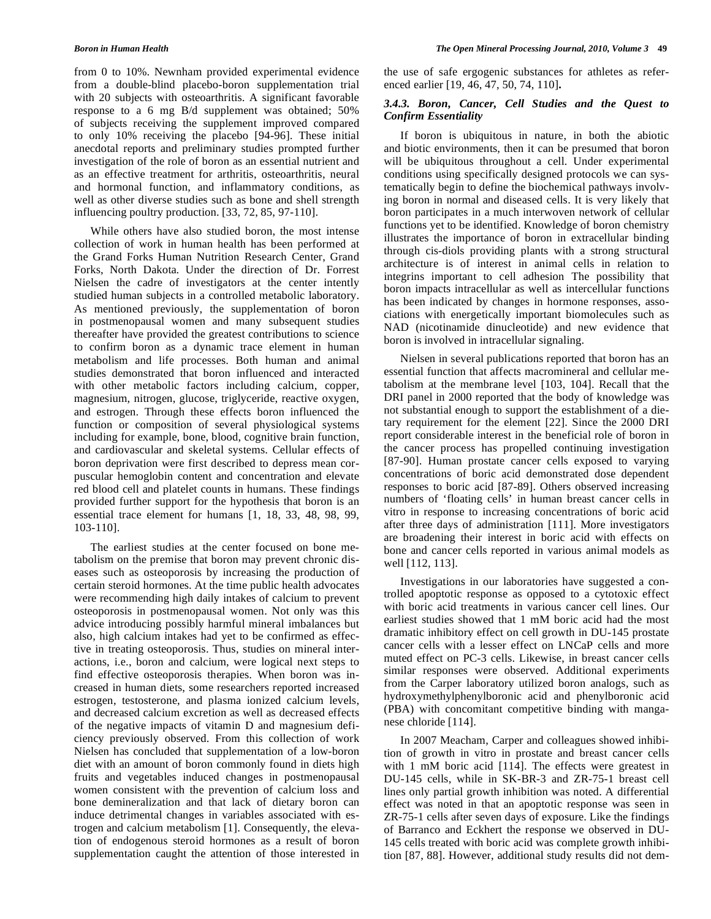from 0 to 10%. Newnham provided experimental evidence from a double-blind placebo-boron supplementation trial with 20 subjects with osteoarthritis. A significant favorable response to a 6 mg B/d supplement was obtained; 50% of subjects receiving the supplement improved compared to only 10% receiving the placebo [94-96]. These initial anecdotal reports and preliminary studies prompted further investigation of the role of boron as an essential nutrient and as an effective treatment for arthritis, osteoarthritis, neural and hormonal function, and inflammatory conditions, as well as other diverse studies such as bone and shell strength influencing poultry production. [33, 72, 85, 97-110].

 While others have also studied boron, the most intense collection of work in human health has been performed at the Grand Forks Human Nutrition Research Center, Grand Forks, North Dakota. Under the direction of Dr. Forrest Nielsen the cadre of investigators at the center intently studied human subjects in a controlled metabolic laboratory. As mentioned previously, the supplementation of boron in postmenopausal women and many subsequent studies thereafter have provided the greatest contributions to science to confirm boron as a dynamic trace element in human metabolism and life processes. Both human and animal studies demonstrated that boron influenced and interacted with other metabolic factors including calcium, copper, magnesium, nitrogen, glucose, triglyceride, reactive oxygen, and estrogen. Through these effects boron influenced the function or composition of several physiological systems including for example, bone, blood, cognitive brain function, and cardiovascular and skeletal systems. Cellular effects of boron deprivation were first described to depress mean corpuscular hemoglobin content and concentration and elevate red blood cell and platelet counts in humans. These findings provided further support for the hypothesis that boron is an essential trace element for humans [1, 18, 33, 48, 98, 99, 103-110].

 The earliest studies at the center focused on bone metabolism on the premise that boron may prevent chronic diseases such as osteoporosis by increasing the production of certain steroid hormones. At the time public health advocates were recommending high daily intakes of calcium to prevent osteoporosis in postmenopausal women. Not only was this advice introducing possibly harmful mineral imbalances but also, high calcium intakes had yet to be confirmed as effective in treating osteoporosis. Thus, studies on mineral interactions, i.e., boron and calcium, were logical next steps to find effective osteoporosis therapies. When boron was increased in human diets, some researchers reported increased estrogen, testosterone, and plasma ionized calcium levels, and decreased calcium excretion as well as decreased effects of the negative impacts of vitamin D and magnesium deficiency previously observed. From this collection of work Nielsen has concluded that supplementation of a low-boron diet with an amount of boron commonly found in diets high fruits and vegetables induced changes in postmenopausal women consistent with the prevention of calcium loss and bone demineralization and that lack of dietary boron can induce detrimental changes in variables associated with estrogen and calcium metabolism [1]. Consequently, the elevation of endogenous steroid hormones as a result of boron supplementation caught the attention of those interested in

the use of safe ergogenic substances for athletes as referenced earlier [19, 46, 47, 50, 74, 110]**.** 

### *3.4.3. Boron, Cancer, Cell Studies and the Quest to Confirm Essentiality*

 If boron is ubiquitous in nature, in both the abiotic and biotic environments, then it can be presumed that boron will be ubiquitous throughout a cell. Under experimental conditions using specifically designed protocols we can systematically begin to define the biochemical pathways involving boron in normal and diseased cells. It is very likely that boron participates in a much interwoven network of cellular functions yet to be identified. Knowledge of boron chemistry illustrates the importance of boron in extracellular binding through cis-diols providing plants with a strong structural architecture is of interest in animal cells in relation to integrins important to cell adhesion The possibility that boron impacts intracellular as well as intercellular functions has been indicated by changes in hormone responses, associations with energetically important biomolecules such as NAD (nicotinamide dinucleotide) and new evidence that boron is involved in intracellular signaling.

 Nielsen in several publications reported that boron has an essential function that affects macromineral and cellular metabolism at the membrane level [103, 104]. Recall that the DRI panel in 2000 reported that the body of knowledge was not substantial enough to support the establishment of a dietary requirement for the element [22]. Since the 2000 DRI report considerable interest in the beneficial role of boron in the cancer process has propelled continuing investigation [87-90]. Human prostate cancer cells exposed to varying concentrations of boric acid demonstrated dose dependent responses to boric acid [87-89]. Others observed increasing numbers of 'floating cells' in human breast cancer cells in vitro in response to increasing concentrations of boric acid after three days of administration [111]. More investigators are broadening their interest in boric acid with effects on bone and cancer cells reported in various animal models as well [112, 113].

 Investigations in our laboratories have suggested a controlled apoptotic response as opposed to a cytotoxic effect with boric acid treatments in various cancer cell lines. Our earliest studies showed that 1 mM boric acid had the most dramatic inhibitory effect on cell growth in DU-145 prostate cancer cells with a lesser effect on LNCaP cells and more muted effect on PC-3 cells. Likewise, in breast cancer cells similar responses were observed. Additional experiments from the Carper laboratory utilized boron analogs, such as hydroxymethylphenylboronic acid and phenylboronic acid (PBA) with concomitant competitive binding with manganese chloride [114].

 In 2007 Meacham, Carper and colleagues showed inhibition of growth in vitro in prostate and breast cancer cells with 1 mM boric acid [114]. The effects were greatest in DU-145 cells, while in SK-BR-3 and ZR-75-1 breast cell lines only partial growth inhibition was noted. A differential effect was noted in that an apoptotic response was seen in ZR-75-1 cells after seven days of exposure. Like the findings of Barranco and Eckhert the response we observed in DU-145 cells treated with boric acid was complete growth inhibition [87, 88]. However, additional study results did not dem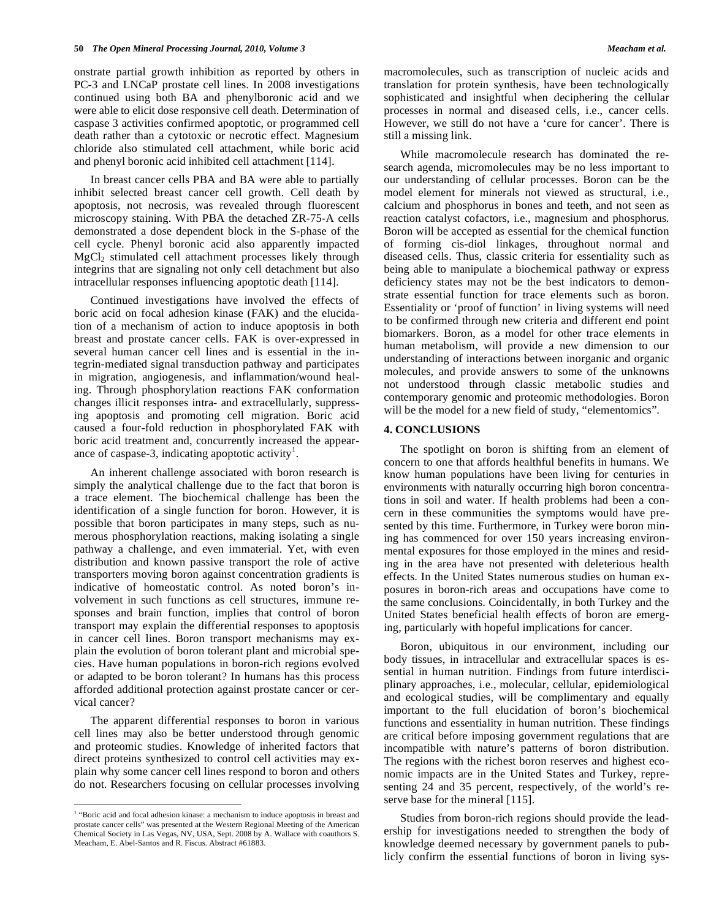onstrate partial growth inhibition as reported by others in PC-3 and LNCaP prostate cell lines. In 2008 investigations continued using both BA and phenylboronic acid and we were able to elicit dose responsive cell death. Determination of caspase 3 activities confirmed apoptotic, or programmed cell death rather than a cytotoxic or necrotic effect. Magnesium chloride also stimulated cell attachment, while boric acid and phenyl boronic acid inhibited cell attachment [114].

 In breast cancer cells PBA and BA were able to partially inhibit selected breast cancer cell growth. Cell death by apoptosis, not necrosis, was revealed through fluorescent microscopy staining. With PBA the detached ZR-75-A cells demonstrated a dose dependent block in the S-phase of the cell cycle. Phenyl boronic acid also apparently impacted  $MgCl<sub>2</sub>$  stimulated cell attachment processes likely through integrins that are signaling not only cell detachment but also intracellular responses influencing apoptotic death [114].

 Continued investigations have involved the effects of boric acid on focal adhesion kinase (FAK) and the elucidation of a mechanism of action to induce apoptosis in both breast and prostate cancer cells. FAK is over-expressed in several human cancer cell lines and is essential in the integrin-mediated signal transduction pathway and participates in migration, angiogenesis, and inflammation/wound healing. Through phosphorylation reactions FAK conformation changes illicit responses intra- and extracellularly, suppressing apoptosis and promoting cell migration. Boric acid caused a four-fold reduction in phosphorylated FAK with boric acid treatment and, concurrently increased the appearance of caspase-3, indicating apoptotic activity<sup>1</sup>.

 An inherent challenge associated with boron research is simply the analytical challenge due to the fact that boron is a trace element. The biochemical challenge has been the identification of a single function for boron. However, it is possible that boron participates in many steps, such as numerous phosphorylation reactions, making isolating a single pathway a challenge, and even immaterial. Yet, with even distribution and known passive transport the role of active transporters moving boron against concentration gradients is indicative of homeostatic control. As noted boron's involvement in such functions as cell structures, immune responses and brain function, implies that control of boron transport may explain the differential responses to apoptosis in cancer cell lines. Boron transport mechanisms may explain the evolution of boron tolerant plant and microbial species. Have human populations in boron-rich regions evolved or adapted to be boron tolerant? In humans has this process afforded additional protection against prostate cancer or cervical cancer?

 The apparent differential responses to boron in various cell lines may also be better understood through genomic and proteomic studies. Knowledge of inherited factors that direct proteins synthesized to control cell activities may explain why some cancer cell lines respond to boron and others do not. Researchers focusing on cellular processes involving

 $\overline{a}$ 

macromolecules, such as transcription of nucleic acids and translation for protein synthesis, have been technologically sophisticated and insightful when deciphering the cellular processes in normal and diseased cells, i.e., cancer cells. However, we still do not have a 'cure for cancer'. There is still a missing link.

 While macromolecule research has dominated the research agenda, micromolecules may be no less important to our understanding of cellular processes. Boron can be the model element for minerals not viewed as structural, i.e., calcium and phosphorus in bones and teeth, and not seen as reaction catalyst cofactors, i.e., magnesium and phosphorus. Boron will be accepted as essential for the chemical function of forming cis-diol linkages, throughout normal and diseased cells. Thus, classic criteria for essentiality such as being able to manipulate a biochemical pathway or express deficiency states may not be the best indicators to demonstrate essential function for trace elements such as boron. Essentiality or 'proof of function' in living systems will need to be confirmed through new criteria and different end point biomarkers. Boron, as a model for other trace elements in human metabolism, will provide a new dimension to our understanding of interactions between inorganic and organic molecules, and provide answers to some of the unknowns not understood through classic metabolic studies and contemporary genomic and proteomic methodologies. Boron will be the model for a new field of study, "elementomics".

### **4. CONCLUSIONS**

 The spotlight on boron is shifting from an element of concern to one that affords healthful benefits in humans. We know human populations have been living for centuries in environments with naturally occurring high boron concentrations in soil and water. If health problems had been a concern in these communities the symptoms would have presented by this time. Furthermore, in Turkey were boron mining has commenced for over 150 years increasing environmental exposures for those employed in the mines and residing in the area have not presented with deleterious health effects. In the United States numerous studies on human exposures in boron-rich areas and occupations have come to the same conclusions. Coincidentally, in both Turkey and the United States beneficial health effects of boron are emerging, particularly with hopeful implications for cancer.

 Boron, ubiquitous in our environment, including our body tissues, in intracellular and extracellular spaces is essential in human nutrition. Findings from future interdisciplinary approaches, i.e., molecular, cellular, epidemiological and ecological studies, will be complimentary and equally important to the full elucidation of boron's biochemical functions and essentiality in human nutrition. These findings are critical before imposing government regulations that are incompatible with nature's patterns of boron distribution. The regions with the richest boron reserves and highest economic impacts are in the United States and Turkey, representing 24 and 35 percent, respectively, of the world's reserve base for the mineral [115].

 Studies from boron-rich regions should provide the leadership for investigations needed to strengthen the body of knowledge deemed necessary by government panels to publicly confirm the essential functions of boron in living sys-

<sup>&</sup>lt;sup>1</sup> "Boric acid and focal adhesion kinase: a mechanism to induce apoptosis in breast and prostate cancer cells" was presented at the Western Regional Meeting of the American Chemical Society in Las Vegas, NV, USA, Sept. 2008 by A. Wallace with coauthors S. Meacham, E. Abel-Santos and R. Fiscus. Abstract #61883.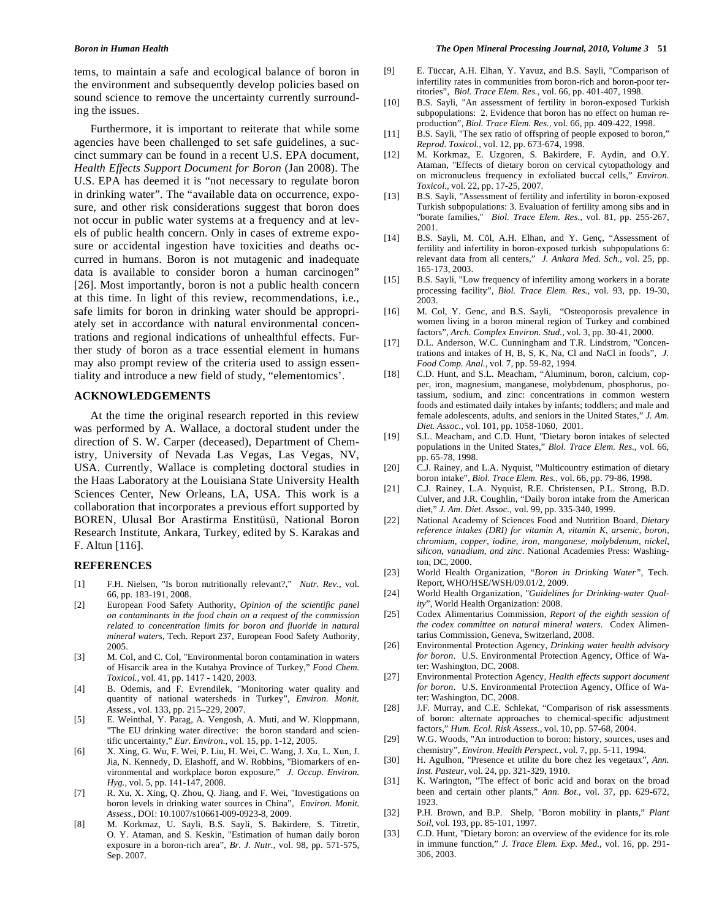tems, to maintain a safe and ecological balance of boron in the environment and subsequently develop policies based on sound science to remove the uncertainty currently surrounding the issues.

 Furthermore, it is important to reiterate that while some agencies have been challenged to set safe guidelines, a succinct summary can be found in a recent U.S. EPA document, *Health Effects Support Document for Boron* (Jan 2008). The U.S. EPA has deemed it is "not necessary to regulate boron in drinking water". The "available data on occurrence, exposure, and other risk considerations suggest that boron does not occur in public water systems at a frequency and at levels of public health concern. Only in cases of extreme exposure or accidental ingestion have toxicities and deaths occurred in humans. Boron is not mutagenic and inadequate data is available to consider boron a human carcinogen" [26]. Most importantly, boron is not a public health concern at this time. In light of this review, recommendations, i.e., safe limits for boron in drinking water should be appropriately set in accordance with natural environmental concentrations and regional indications of unhealthful effects. Further study of boron as a trace essential element in humans may also prompt review of the criteria used to assign essentiality and introduce a new field of study, "elementomics'.

### **ACKNOWLEDGEMENTS**

 At the time the original research reported in this review was performed by A. Wallace, a doctoral student under the direction of S. W. Carper (deceased), Department of Chemistry, University of Nevada Las Vegas, Las Vegas, NV, USA. Currently, Wallace is completing doctoral studies in the Haas Laboratory at the Louisiana State University Health Sciences Center, New Orleans, LA, USA. This work is a collaboration that incorporates a previous effort supported by BOREN, Ulusal Bor Arastirma Enstitüsü, National Boron Research Institute, Ankara, Turkey, edited by S. Karakas and F. Altun [116].

### **REFERENCES**

- [1] F.H. Nielsen, "Is boron nutritionally relevant?," *Nutr. Rev.,* vol. 66, pp. 183-191, 2008.
- [2] European Food Safety Authority, *Opinion of the scientific panel on contaminants in the food chain on a request of the commission related to concentration limits for boron and fluoride in natural mineral waters*, Tech. Report 237, European Food Safety Authority, 2005.
- [3] M. Col, and C. Col, "Environmental boron contamination in waters of Hisarcik area in the Kutahya Province of Turkey," *Food Chem. Toxicol.,* vol. 41, pp. 1417 - 1420, 2003.
- [4] B. Odemis, and F. Evrendilek, "Monitoring water quality and quantity of national watersheds in Turkey", *Environ. Monit. Assess.,* vol. 133, pp. 215–229, 2007.
- [5] E. Weinthal, Y. Parag, A. Vengosh, A. Muti, and W. Kloppmann, "The EU drinking water directive: the boron standard and scientific uncertainty," *Eur. Environ.,* vol. 15, pp. 1-12, 2005.
- [6] X. Xing, G. Wu, F. Wei, P. Liu, H. Wei, C. Wang, J. Xu, L. Xun, J. Jia, N. Kennedy, D. Elashoff, and W. Robbins, "Biomarkers of environmental and workplace boron exposure," *J. Occup. Environ. Hyg.,* vol. 5, pp. 141-147, 2008.
- [7] R. Xu, X. Xing, Q. Zhou, Q. Jiang, and F. Wei, "Investigations on boron levels in drinking water sources in China", *Environ. Monit. Assess.,* DOI: 10.1007/s10661-009-0923-8*,* 2009.
- [8] M. Korkmaz, U. Sayli, B.S. Sayli, S. Bakirdere, S. Titretir, O. Y. Ataman, and S. Keskin, "Estimation of human daily boron exposure in a boron-rich area", *Br. J. Nutr.,* vol. 98, pp. 571-575, Sep. 2007.

### *Boron in Human Health The Open Mineral Processing Journal, 2010, Volume 3* **51**

- [9] E. Tüccar, A.H. Elhan, Y. Yavuz, and B.S. Sayli, "Comparison of infertility rates in communities from boron-rich and boron-poor territories", *Biol. Trace Elem. Res.,* vol. 66, pp. 401-407, 1998.
- [10] B.S. Sayli, "An assessment of fertility in boron-exposed Turkish subpopulations: 2. Evidence that boron has no effect on human reproduction", *Biol. Trace Elem. Res.,* vol. 66, pp. 409-422, 1998.
- [11] B.S. Sayli, "The sex ratio of offspring of people exposed to boron," *Reprod. Toxicol.,* vol. 12, pp. 673-674, 1998.
- [12] M. Korkmaz, E. Uzgoren, S. Bakirdere, F. Aydin, and O.Y. Ataman, "Effects of dietary boron on cervical cytopathology and on micronucleus frequency in exfoliated buccal cells," *Environ. Toxicol.,* vol. 22, pp. 17-25, 2007.
- [13] B.S. Sayli, "Assessment of fertility and infertility in boron-exposed Turkish subpopulations: 3. Evaluation of fertility among sibs and in "borate families," *Biol. Trace Elem. Res.,* vol. 81, pp. 255-267, 2001.
- [14] B.S. Sayli, M. Cöl, A.H. Elhan, and Y. Genç, "Assessment of fertility and infertility in boron-exposed turkish subpopulations 6: relevant data from all centers," *J. Ankara Med. Sch.,* vol. 25, pp. 165-173, 2003.
- [15] B.S. Sayli, "Low frequency of infertility among workers in a borate processing facility", *Biol. Trace Elem. Res.,* vol. 93, pp. 19-30, 2003.
- [16] M. Col, Y. Genc, and B.S. Sayli, "Osteoporosis prevalence in women living in a boron mineral region of Turkey and combined factors", *Arch. Complex Environ. Stud.,* vol. 3, pp. 30-41, 2000.
- [17] D.L. Anderson, W.C. Cunningham and T.R. Lindstrom, "Concentrations and intakes of H, B, S, K, Na, Cl and NaCl in foods", *J. Food Comp. Anal.,* vol. 7, pp. 59-82, 1994.
- [18] C.D. Hunt, and S.L. Meacham, "Aluminum, boron, calcium, copper, iron, magnesium, manganese, molybdenum, phosphorus, potassium, sodium, and zinc: concentrations in common western foods and estimated daily intakes by infants; toddlers; and male and female adolescents, adults, and seniors in the United States," *J. Am. Diet. Assoc.,* vol. 101, pp. 1058-1060, 2001.
- [19] S.L. Meacham, and C.D. Hunt, "Dietary boron intakes of selected populations in the United States," *Biol. Trace Elem. Res.,* vol. 66, pp. 65-78, 1998.
- [20] C.J. Rainey, and L.A. Nyquist, "Multicountry estimation of dietary boron intake", *Biol. Trace Elem. Res.,* vol. 66, pp. 79-86, 1998.
- [21] C.J. Rainey, L.A. Nyquist, R.E. Christensen, P.L. Strong, B.D. Culver, and J.R. Coughlin, "Daily boron intake from the American diet," *J. Am. Diet. Assoc.,* vol. 99, pp. 335-340, 1999.
- [22] National Academy of Sciences Food and Nutrition Board, *Dietary reference intakes (DRI) for vitamin A, vitamin K, arsenic, boron, chromium, copper, iodine, iron, manganese, molybdenum, nickel, silicon, vanadium, and zinc*. National Academies Press: Washington, DC, 2000.
- [23] World Health Organization, "*Boron in Drinking Water",* Tech. Report, WHO/HSE/WSH/09.01/2, 2009.
- [24] World Health Organization, "*Guidelines for Drinking-water Quality*", World Health Organization: 2008.
- [25] Codex Alimentarius Commission, *Report of the eighth session of the codex committee on natural mineral waters.* Codex Alimentarius Commission, Geneva, Switzerland, 2008.
- [26] Environmental Protection Agency, *Drinking water health advisory for boron*. U.S. Environmental Protection Agency, Office of Water: Washington, DC, 2008.
- [27] Environmental Protection Agency, *Health effects support document for boron*. U.S. Environmental Protection Agency, Office of Water: Washington, DC, 2008.
- [28] J.F. Murray, and C.E. Schlekat, "Comparison of risk assessments of boron: alternate approaches to chemical-specific adjustment factors," *Hum. Ecol. Risk Assess.,* vol. 10, pp. 57-68, 2004.
- [29] W.G. Woods, "An introduction to boron: history, sources, uses and chemistry", *Environ. Health Perspect.,* vol. 7, pp. 5-11, 1994.
- [30] H. Agulhon, "Presence et utilite du bore chez les vegetaux", *Ann. Inst. Pasteur,* vol. 24, pp. 321-329, 1910.
- [31] K. Warington, "The effect of boric acid and borax on the broad been and certain other plants," *Ann. Bot.,* vol. 37, pp. 629-672, 1923.
- [32] P.H. Brown, and B.P. Shelp, "Boron mobility in plants," *Plant Soil,* vol. 193, pp. 85-101, 1997.
- [33] C.D. Hunt, "Dietary boron: an overview of the evidence for its role in immune function," *J. Trace Elem. Exp. Med.,* vol. 16, pp. 291- 306, 2003.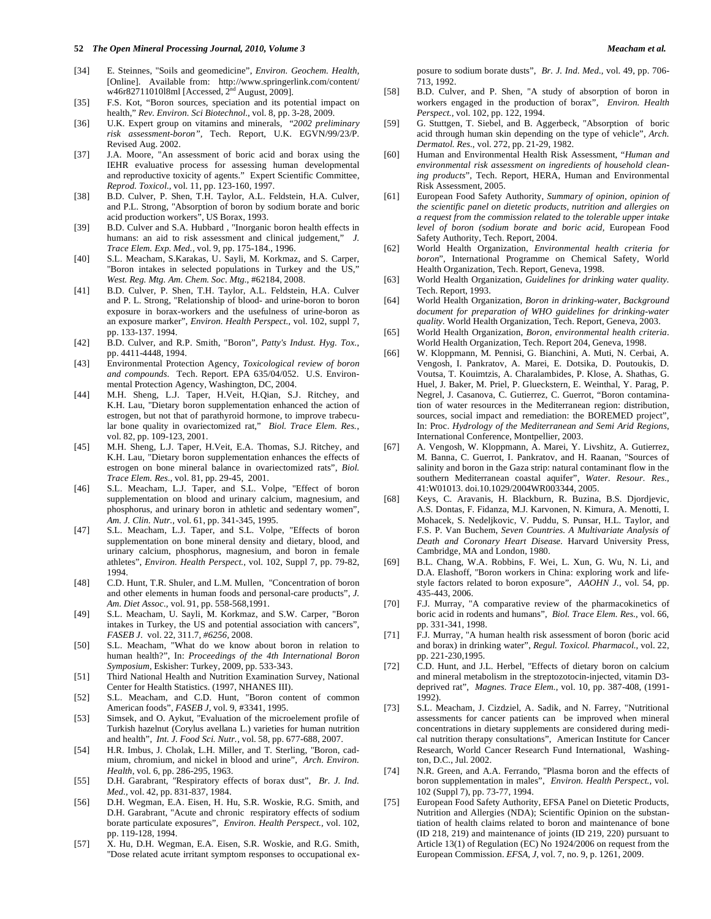- [34] E. Steinnes, "Soils and geomedicine", *Environ. Geochem. Health,*  [Online]. Available from: http://www.springerlink.com/content/  $w46r8271101018ml$  [Accessed, 2<sup>nd</sup> August, 2009].
- [35] F.S. Kot, "Boron sources, speciation and its potential impact on health," *Rev. Environ. Sci Biotechnol*., vol. 8, pp. 3-28, 2009.
- [36] U.K. Expert group on vitamins and minerals, "*2002 preliminary risk assessment-boron",* Tech. Report, U.K. EGVN/99/23/P. Revised Aug. 2002.
- [37] J.A. Moore, "An assessment of boric acid and borax using the IEHR evaluative process for assessing human developmental and reproductive toxicity of agents." Expert Scientific Committee, *Reprod. Toxicol.,* vol. 11, pp. 123-160, 1997.
- [38] B.D. Culver, P. Shen, T.H. Taylor, A.L. Feldstein, H.A. Culver, and P.L. Strong, "Absorption of boron by sodium borate and boric acid production workers", US Borax, 1993.
- [39] B.D. Culver and S.A. Hubbard, "Inorganic boron health effects in humans: an aid to risk assessment and clinical judgement," *J. Trace Elem. Exp. Med.,* vol. 9, pp. 175-184., 1996.
- [40] S.L. Meacham, S.Karakas, U. Sayli, M. Korkmaz, and S. Carper, "Boron intakes in selected populations in Turkey and the US," *West. Reg. Mtg. Am. Chem. Soc. Mtg.,* #62184, 2008.
- [41] B.D. Culver, P. Shen, T.H. Taylor, A.L. Feldstein, H.A. Culver and P. L. Strong, "Relationship of blood- and urine-boron to boron exposure in borax-workers and the usefulness of urine-boron as an exposure marker", *Environ. Health Perspect.,* vol. 102, suppl 7, pp. 133-137. 1994.
- [42] B.D. Culver, and R.P. Smith, "Boron", *Patty's Indust. Hyg. Tox.,*  pp. 4411-4448, 1994.
- [43] Environmental Protection Agency, *Toxicological review of boron and compounds*. Tech. Report. EPA 635/04/052. U.S. Environmental Protection Agency, Washington, DC, 2004.
- [44] M.H. Sheng, L.J. Taper, H.Veit, H.Qian, S.J. Ritchey, and K.H. Lau, "Dietary boron supplementation enhanced the action of estrogen, but not that of parathyroid hormone, to improve trabecular bone quality in ovariectomized rat," *Biol. Trace Elem. Res.,*  vol. 82, pp. 109-123, 2001.
- [45] M.H. Sheng, L.J. Taper, H.Veit, E.A. Thomas, S.J. Ritchey, and K.H. Lau, "Dietary boron supplementation enhances the effects of estrogen on bone mineral balance in ovariectomized rats", *Biol. Trace Elem. Res.,* vol. 81, pp. 29-45, 2001.
- [46] S.L. Meacham, L.J. Taper, and S.L. Volpe, "Effect of boron supplementation on blood and urinary calcium, magnesium, and phosphorus, and urinary boron in athletic and sedentary women", *Am. J. Clin. Nutr.,* vol. 61, pp. 341-345, 1995.
- [47] S.L. Meacham, L.J. Taper, and S.L. Volpe, "Effects of boron supplementation on bone mineral density and dietary, blood, and urinary calcium, phosphorus, magnesium, and boron in female athletes", *Environ. Health Perspect.,* vol. 102, Suppl 7, pp. 79-82, 1994.
- [48] C.D. Hunt, T.R. Shuler, and L.M. Mullen, "Concentration of boron and other elements in human foods and personal-care products", *J. Am. Diet Assoc.,* vol. 91, pp. 558-568,1991.
- [49] S.L. Meacham, U. Sayli, M. Korkmaz, and S.W. Carper, "Boron intakes in Turkey, the US and potential association with cancers", *FASEB J.* vol. 22, 311.7, *#6256,* 2008.
- [50] S.L. Meacham, "What do we know about boron in relation to human health?", In: *Proceedings of the 4th International Boron Symposium,* Eskisher: Turkey, 2009, pp. 533-343.
- [51] Third National Health and Nutrition Examination Survey, National Center for Health Statistics. (1997, NHANES III).
- [52] S.L. Meacham, and C.D. Hunt, "Boron content of common American foods", *FASEB J,* vol. 9, #3341, 1995.
- [53] Simsek, and O. Aykut, "Evaluation of the microelement profile of Turkish hazelnut (Corylus avellana L.) varieties for human nutrition and health", *Int. J. Food Sci. Nutr.,* vol. 58, pp. 677-688, 2007.
- [54] H.R. Imbus, J. Cholak, L.H. Miller, and T. Sterling, "Boron, cadmium, chromium, and nickel in blood and urine", *Arch. Environ. Health,* vol. 6, pp. 286-295, 1963.
- [55] D.H. Garabrant, "Respiratory effects of borax dust", *Br. J. Ind. Med.,* vol. 42, pp. 831-837, 1984.
- [56] D.H. Wegman, E.A. Eisen, H. Hu, S.R. Woskie, R.G. Smith, and D.H. Garabrant, "Acute and chronic respiratory effects of sodium borate particulate exposures", *Environ. Health Perspect.,* vol. 102, pp. 119-128, 1994.
- [57] X. Hu, D.H. Wegman, E.A. Eisen, S.R. Woskie, and R.G. Smith, "Dose related acute irritant symptom responses to occupational ex-

posure to sodium borate dusts", *Br. J. Ind. Med.,* vol. 49, pp. 706- 713, 1992.

- [58] B.D. Culver, and P. Shen, "A study of absorption of boron in workers engaged in the production of borax", *Environ. Health Perspect.,* vol. 102, pp. 122, 1994.
- [59] G. Stuttgen, T. Siebel, and B. Aggerbeck, "Absorption of boric acid through human skin depending on the type of vehicle", *Arch. Dermatol. Res.,* vol. 272, pp. 21-29, 1982.
- [60] Human and Environmental Health Risk Assessment, "*Human and environmental risk assessment on ingredients of household cleaning products*", Tech. Report, HERA, Human and Environmental Risk Assessment, 2005.
- [61] European Food Safety Authority, *Summary of opinion, opinion of the scientific panel on dietetic products, nutrition and allergies on a request from the commission related to the tolerable upper intake level of boron (sodium borate and boric acid,* European Food Safety Authority, Tech. Report, 2004.
- [62] World Health Organization, *Environmental health criteria for boron*", International Programme on Chemical Safety, World Health Organization, Tech. Report, Geneva, 1998.
- [63] World Health Organization, *Guidelines for drinking water quality.*  Tech. Report, 1993.
- [64] World Health Organization, *Boron in drinking-water, Background document for preparation of WHO guidelines for drinking-water quality.* World Health Organization, Tech. Report, Geneva, 2003.
- [65] World Health Organization, *Boron, environmental health criteria*. World Health Organization, Tech. Report 204, Geneva, 1998.
- [66] W. Kloppmann, M. Pennisi, G. Bianchini, A. Muti, N. Cerbai, A. Vengosh, I. Pankratov, A. Marei, E. Dotsika, D. Poutoukis, D. Voutsa, T. Kouimtzis, A. Charalambides, P. Klose, A. Shathas, G. Huel, J. Baker, M. Priel, P. Glueckstern, E. Weinthal, Y. Parag, P. Negrel, J. Casanova, C. Gutierrez, C. Guerrot, "Boron contamination of water resources in the Mediterranean region: distribution, sources, social impact and remediation: the BOREMED project", In: Proc. *Hydrology of the Mediterranean and Semi Arid Regions*, International Conference, Montpellier, 2003.
- [67] A. Vengosh, W. Kloppmann, A. Marei, Y. Livshitz, A. Gutierrez, M. Banna, C. Guerrot, I. Pankratov, and H. Raanan, "Sources of salinity and boron in the Gaza strip: natural contaminant flow in the southern Mediterranean coastal aquifer", *Water. Resour. Res.,* 41:W01013. doi.10.1029/2004WR003344, 2005.
- [68] Keys, C. Aravanis, H. Blackburn, R. Buzina, B.S. Djordjevic, A.S. Dontas, F. Fidanza, M.J. Karvonen, N. Kimura, A. Menotti, I. Mohacek, S. Nedeljkovic, V. Puddu, S. Punsar, H.L. Taylor, and F.S. P. Van Buchem, *Seven Countries. A Multivariate Analysis of Death and Coronary Heart Disease.* Harvard University Press, Cambridge, MA and London, 1980.
- [69] B.L. Chang, W.A. Robbins, F. Wei, L. Xun, G. Wu, N. Li, and D.A. Elashoff, "Boron workers in China: exploring work and lifestyle factors related to boron exposure", *AAOHN J.,* vol. 54, pp. 435-443, 2006.
- [70] F.J. Murray, "A comparative review of the pharmacokinetics of boric acid in rodents and humans", *Biol. Trace Elem. Res.,* vol. 66, pp. 331-341, 1998.
- [71] F.J. Murray, "A human health risk assessment of boron (boric acid and borax) in drinking water", *Regul. Toxicol. Pharmacol.,* vol. 22, pp. 221-230,1995.
- [72] C.D. Hunt, and J.L. Herbel, "Effects of dietary boron on calcium and mineral metabolism in the streptozotocin-injected, vitamin D3 deprived rat", *Magnes. Trace Elem.,* vol. 10, pp. 387-408, (1991- 1992).
- [73] S.L. Meacham, J. Cizdziel, A. Sadik, and N. Farrey, "Nutritional assessments for cancer patients can be improved when mineral concentrations in dietary supplements are considered during medical nutrition therapy consultations", American Institute for Cancer Research, World Cancer Research Fund International, Washington, D.C., Jul. 2002.
- [74] N.R. Green, and A.A. Ferrando, "Plasma boron and the effects of boron supplementation in males", *Environ. Health Perspect.,* vol. 102 (Suppl 7), pp. 73-77, 1994.
- [75] European Food Safety Authority, EFSA Panel on Dietetic Products, Nutrition and Allergies (NDA); Scientific Opinion on the substantiation of health claims related to boron and maintenance of bone (ID 218, 219) and maintenance of joints (ID 219, 220) pursuant to Article 13(1) of Regulation (EC) No 1924/2006 on request from the European Commission. *EFSA, J,* vol. 7, no. 9, p. 1261, 2009.